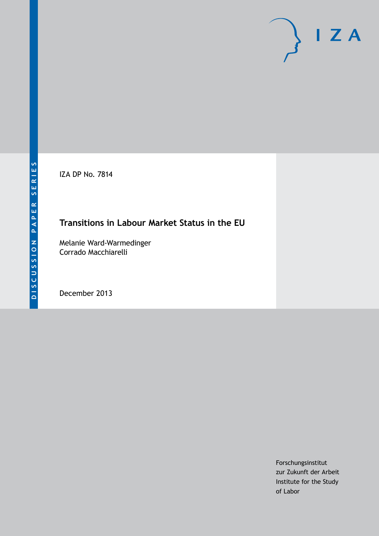IZA DP No. 7814

# **Transitions in Labour Market Status in the EU**

Melanie Ward-Warmedinger Corrado Macchiarelli

December 2013

Forschungsinstitut zur Zukunft der Arbeit Institute for the Study of Labor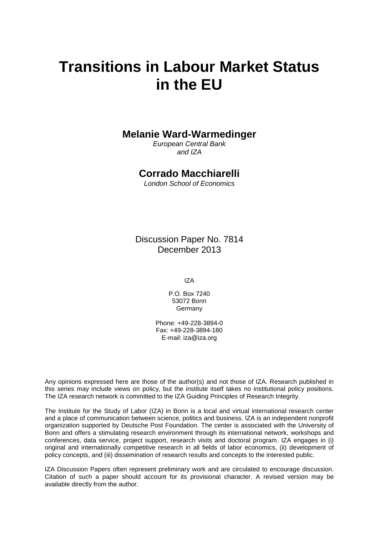# **Transitions in Labour Market Status in the EU**

# **Melanie Ward-Warmedinger**

*European Central Bank and IZA*

# **Corrado Macchiarelli**

*London School of Economics*

Discussion Paper No. 7814 December 2013

IZA

P.O. Box 7240 53072 Bonn Germany

Phone: +49-228-3894-0 Fax: +49-228-3894-180 E-mail: [iza@iza.org](mailto:iza@iza.org)

Any opinions expressed here are those of the author(s) and not those of IZA. Research published in this series may include views on policy, but the institute itself takes no institutional policy positions. The IZA research network is committed to the IZA Guiding Principles of Research Integrity.

The Institute for the Study of Labor (IZA) in Bonn is a local and virtual international research center and a place of communication between science, politics and business. IZA is an independent nonprofit organization supported by Deutsche Post Foundation. The center is associated with the University of Bonn and offers a stimulating research environment through its international network, workshops and conferences, data service, project support, research visits and doctoral program. IZA engages in (i) original and internationally competitive research in all fields of labor economics, (ii) development of policy concepts, and (iii) dissemination of research results and concepts to the interested public.

<span id="page-1-0"></span>IZA Discussion Papers often represent preliminary work and are circulated to encourage discussion. Citation of such a paper should account for its provisional character. A revised version may be available directly from the author.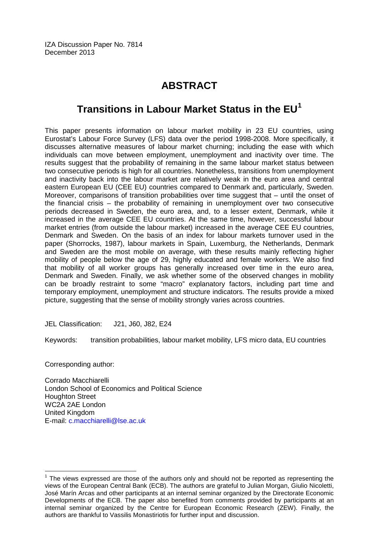# **ABSTRACT**

# **Transitions in Labour Market Status in the EU[1](#page-1-0)**

This paper presents information on labour market mobility in 23 EU countries, using Eurostat's Labour Force Survey (LFS) data over the period 1998-2008. More specifically, it discusses alternative measures of labour market churning; including the ease with which individuals can move between employment, unemployment and inactivity over time. The results suggest that the probability of remaining in the same labour market status between two consecutive periods is high for all countries. Nonetheless, transitions from unemployment and inactivity back into the labour market are relatively weak in the euro area and central eastern European EU (CEE EU) countries compared to Denmark and, particularly, Sweden. Moreover, comparisons of transition probabilities over time suggest that – until the onset of the financial crisis – the probability of remaining in unemployment over two consecutive periods decreased in Sweden, the euro area, and, to a lesser extent, Denmark, while it increased in the average CEE EU countries. At the same time, however, successful labour market entries (from outside the labour market) increased in the average CEE EU countries, Denmark and Sweden. On the basis of an index for labour markets turnover used in the paper (Shorrocks, 1987), labour markets in Spain, Luxemburg, the Netherlands, Denmark and Sweden are the most mobile on average, with these results mainly reflecting higher mobility of people below the age of 29, highly educated and female workers. We also find that mobility of all worker groups has generally increased over time in the euro area, Denmark and Sweden. Finally, we ask whether some of the observed changes in mobility can be broadly restraint to some "macro" explanatory factors, including part time and temporary employment, unemployment and structure indicators. The results provide a mixed picture, suggesting that the sense of mobility strongly varies across countries.

JEL Classification: J21, J60, J82, E24

Keywords: transition probabilities, labour market mobility, LFS micro data, EU countries

Corresponding author:

Corrado Macchiarelli London School of Economics and Political Science Houghton Street WC2A 2AE London United Kingdom E-mail: [c.macchiarelli@lse.ac.uk](mailto:c.macchiarelli@lse.ac.uk)

 $1$  The views expressed are those of the authors only and should not be reported as representing the views of the European Central Bank (ECB). The authors are grateful to Julian Morgan, Giulio Nicoletti, José Marín Arcas and other participants at an internal seminar organized by the Directorate Economic Developments of the ECB. The paper also benefited from comments provided by participants at an internal seminar organized by the Centre for European Economic Research (ZEW). Finally, the authors are thankful to Vassilis Monastiriotis for further input and discussion.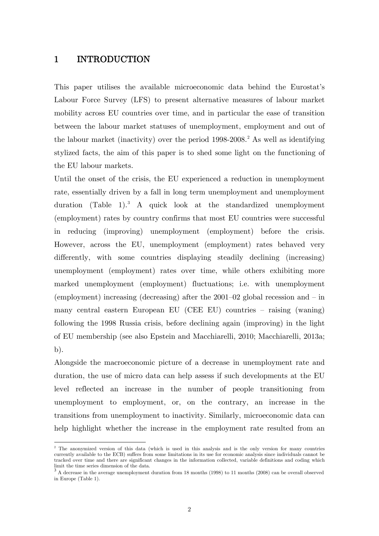# 1 INTRODUCTION

-

This paper utilises the available microeconomic data behind the Eurostat's Labour Force Survey (LFS) to present alternative measures of labour market mobility across EU countries over time, and in particular the ease of transition between the labour market statuses of unemployment, employment and out of the labour market (inactivity) over the period 1998-2008. <sup>2</sup> As well as identifying stylized facts, the aim of this paper is to shed some light on the functioning of the EU labour markets.

Until the onset of the crisis, the EU experienced a reduction in unemployment rate, essentially driven by a fall in long term unemployment and unemployment duration (Table 1). [3](#page-3-0) A quick look at the standardized unemployment (employment) rates by country confirms that most EU countries were successful in reducing (improving) unemployment (employment) before the crisis. However, across the EU, unemployment (employment) rates behaved very differently, with some countries displaying steadily declining (increasing) unemployment (employment) rates over time, while others exhibiting more marked unemployment (employment) fluctuations; i.e. with unemployment (employment) increasing (decreasing) after the 2001–02 global recession and – in many central eastern European EU (CEE EU) countries – raising (waning) following the 1998 Russia crisis, before declining again (improving) in the light of EU membership (see also Epstein and Macchiarelli, 2010; Macchiarelli, 2013a; b).

Alongside the macroeconomic picture of a decrease in unemployment rate and duration, the use of micro data can help assess if such developments at the EU level reflected an increase in the number of people transitioning from unemployment to employment, or, on the contrary, an increase in the transitions from unemployment to inactivity. Similarly, microeconomic data can help highlight whether the increase in the employment rate resulted from an

<sup>&</sup>lt;sup>2</sup> The anonymized version of this data (which is used in this analysis and is the only version for many countries currently available to the ECB) suffers from some limitations in its use for economic analysis since individuals cannot be tracked over time and there are significant changes in the information collected, variable definitions and coding which limit the time series dimension of the data.

<span id="page-3-1"></span><span id="page-3-0"></span><sup>3</sup> A decrease in the average unemployment duration from 18 months (1998) to 11 months (2008) can be overall observed in Europe (Table 1).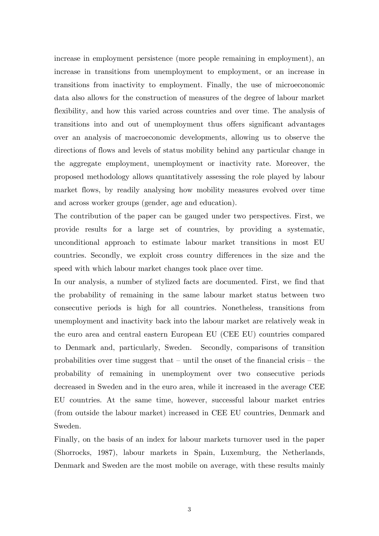increase in employment persistence (more people remaining in employment), an increase in transitions from unemployment to employment, or an increase in transitions from inactivity to employment. Finally, the use of microeconomic data also allows for the construction of measures of the degree of labour market flexibility, and how this varied across countries and over time. The analysis of transitions into and out of unemployment thus offers significant advantages over an analysis of macroeconomic developments, allowing us to observe the directions of flows and levels of status mobility behind any particular change in the aggregate employment, unemployment or inactivity rate. Moreover, the proposed methodology allows quantitatively assessing the role played by labour market flows, by readily analysing how mobility measures evolved over time and across worker groups (gender, age and education).

The contribution of the paper can be gauged under two perspectives. First, we provide results for a large set of countries, by providing a systematic, unconditional approach to estimate labour market transitions in most EU countries. Secondly, we exploit cross country differences in the size and the speed with which labour market changes took place over time.

In our analysis, a number of stylized facts are documented. First, we find that the probability of remaining in the same labour market status between two consecutive periods is high for all countries. Nonetheless, transitions from unemployment and inactivity back into the labour market are relatively weak in the euro area and central eastern European EU (CEE EU) countries compared to Denmark and, particularly, Sweden. Secondly, comparisons of transition probabilities over time suggest that – until the onset of the financial crisis – the probability of remaining in unemployment over two consecutive periods decreased in Sweden and in the euro area, while it increased in the average CEE EU countries. At the same time, however, successful labour market entries (from outside the labour market) increased in CEE EU countries, Denmark and Sweden.

Finally, on the basis of an index for labour markets turnover used in the paper (Shorrocks, 1987), labour markets in Spain, Luxemburg, the Netherlands, Denmark and Sweden are the most mobile on average, with these results mainly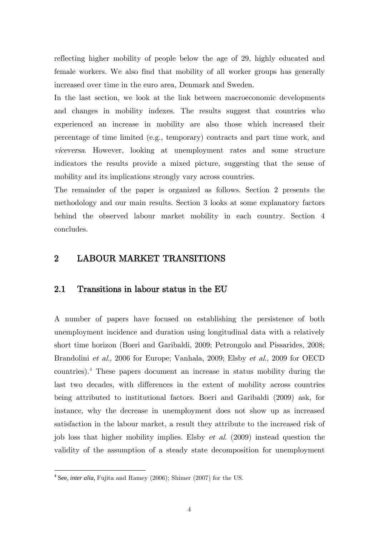reflecting higher mobility of people below the age of 29, highly educated and female workers. We also find that mobility of all worker groups has generally increased over time in the euro area, Denmark and Sweden.

In the last section, we look at the link between macroeconomic developments and changes in mobility indexes. The results suggest that countries who experienced an increase in mobility are also those which increased their percentage of time limited (e.g., temporary) contracts and part time work, and viceversa. However, looking at unemployment rates and some structure indicators the results provide a mixed picture, suggesting that the sense of mobility and its implications strongly vary across countries.

The remainder of the paper is organized as follows. Section 2 presents the methodology and our main results. Section 3 looks at some explanatory factors behind the observed labour market mobility in each country. Section 4 concludes.

### 2 LABOUR MARKET TRANSITIONS

### 2.1 Transitions in labour status in the EU

A number of papers have focused on establishing the persistence of both unemployment incidence and duration using longitudinal data with a relatively short time horizon (Boeri and Garibaldi, 2009; Petrongolo and Pissarides, 2008; Brandolini et al., 2006 for Europe; Vanhala, 2009; Elsby et al., 2009 for OECD countries).[4](#page-3-1) These papers document an increase in status mobility during the last two decades, with differences in the extent of mobility across countries being attributed to institutional factors. Boeri and Garibaldi (2009) ask, for instance, why the decrease in unemployment does not show up as increased satisfaction in the labour market, a result they attribute to the increased risk of job loss that higher mobility implies. Elsby *et al.* (2009) instead question the validity of the assumption of a steady state decomposition for unemployment

<span id="page-5-0"></span> <sup>4</sup> See, *inter alia*, Fujita and Ramey (2006); Shimer (2007) for the US.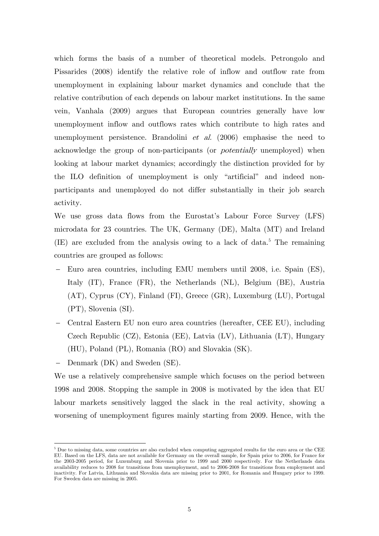which forms the basis of a number of theoretical models. Petrongolo and Pissarides (2008) identify the relative role of inflow and outflow rate from unemployment in explaining labour market dynamics and conclude that the relative contribution of each depends on labour market institutions. In the same vein, Vanhala (2009) argues that European countries generally have low unemployment inflow and outflows rates which contribute to high rates and unemployment persistence. Brandolini et al.  $(2006)$  emphasise the need to acknowledge the group of non-participants (or *potentially* unemployed) when looking at labour market dynamics; accordingly the distinction provided for by the ILO definition of unemployment is only "artificial" and indeed nonparticipants and unemployed do not differ substantially in their job search activity.

We use gross data flows from the Eurostat's Labour Force Survey (LFS) microdata for 23 countries. The UK, Germany (DE), Malta (MT) and Ireland  $(IE)$  are excluded from the analysis owing to a lack of data.<sup>[5](#page-5-0)</sup> The remaining countries are grouped as follows:

- − Euro area countries, including EMU members until 2008, i.e. Spain (ES), Italy (IT), France (FR), the Netherlands (NL), Belgium (BE), Austria (AT), Cyprus (CY), Finland (FI), Greece (GR), Luxemburg (LU), Portugal (PT), Slovenia (SI).
- − Central Eastern EU non euro area countries (hereafter, CEE EU), including Czech Republic (CZ), Estonia (EE), Latvia (LV), Lithuania (LT), Hungary (HU), Poland (PL), Romania (RO) and Slovakia (SK).

− Denmark (DK) and Sweden (SE).

<u>.</u>

<span id="page-6-0"></span>We use a relatively comprehensive sample which focuses on the period between 1998 and 2008. Stopping the sample in 2008 is motivated by the idea that EU labour markets sensitively lagged the slack in the real activity, showing a worsening of unemployment figures mainly starting from 2009. Hence, with the

<sup>5</sup> Due to missing data, some countries are also excluded when computing aggregated results for the euro area or the CEE EU. Based on the LFS, data are not available for Germany on the overall sample, for Spain prior to 2006, for France for the 2003-2005 period, for Luxemburg and Slovenia prior to 1999 and 2000 respectively. For the Netherlands data availability reduces to 2008 for transitions from unemployment, and to 2006-2008 for transitions from employment and inactivity. For Latvia, Lithuania and Slovakia data are missing prior to 2001, for Romania and Hungary prior to 1999. For Sweden data are missing in 2005.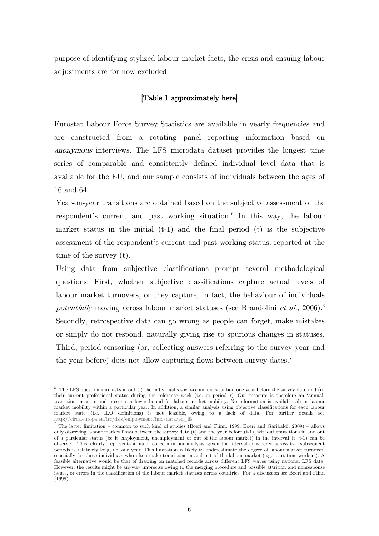purpose of identifying stylized labour market facts, the crisis and ensuing labour adjustments are for now excluded.

#### [Table 1 approximately here]

Eurostat Labour Force Survey Statistics are available in yearly frequencies and are constructed from a rotating panel reporting information based on anonymous interviews. The LFS microdata dataset provides the longest time series of comparable and consistently defined individual level data that is available for the EU, and our sample consists of individuals between the ages of 16 and 64.

Year-on-year transitions are obtained based on the subjective assessment of the respondent's current and past working situation. [6](#page-6-0) In this way, the labour market status in the initial  $(t-1)$  and the final period  $(t)$  is the subjective assessment of the respondent's current and past working status, reported at the time of the survey (t).

Using data from subjective classifications prompt several methodological questions. First, whether subjective classifications capture actual levels of labour market turnovers, or they capture, in fact, the behaviour of individuals potentially moving across labour market statuses (see Brandolini et al.,  $2006$ ).<sup>3</sup> Secondly, retrospective data can go wrong as people can forget, make mistakes or simply do not respond, naturally giving rise to spurious changes in statuses. Third, period-censoring (or, collecting answers referring to the survey year and the year before) does not allow capturing flows between survey dates.[7](#page-7-0)

<u>.</u>

<sup>&</sup>lt;sup>6</sup> The LFS questionnaire asks about (i) the individual's socio-economic situation one year before the survey date and (ii) their current professional status during the reference week (i.e. in period  $t$ ). Our measure is therefore an 'annual' transition measure and presents a lower bound for labour market mobility. No information is available about labour market mobility within a particular year. In addition, a similar analysis using objective classifications for each labour market state (i.e. ILO definitions) is not feasible, owing to a lack of data. For further details see http://circa.europa.eu/irc/dsis/employment/info/data/eu\_lfs.

<span id="page-7-1"></span><span id="page-7-0"></span> $^7$  The latter limitation – common to such kind of studies (Boeri and Flinn, 1999; Boeri and Garibaldi, 2009) – allows only observing labour market flows between the survey date (t) and the year before (t-1), without transitions in and out of a particular status (be it employment, unemployment or out of the labour market) in the interval (t; t-1) can be observed. This, clearly, represents a major concern in our analysis, given the interval considered across two subsequent periods is relatively long, i.e. one year. This limitation is likely to underestimate the degree of labour market turnover, especially for those individuals who often make transitions in and out of the labour market (e.g., part-time workers). A feasible alternative would be that of drawing on matched records across different LFS waves using national LFS data. However, the results might be anyway imprecise owing to the merging procedure and possible attrition and nonresponse issues, or errors in the classification of the labour market statuses across countries. For a discussion see Boeri and Flinn (1999).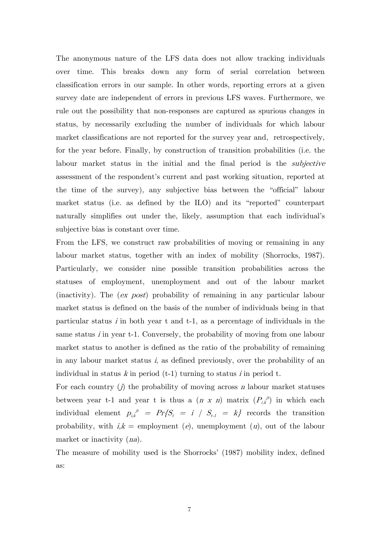The anonymous nature of the LFS data does not allow tracking individuals over time. This breaks down any form of serial correlation between classification errors in our sample. In other words, reporting errors at a given survey date are independent of errors in previous LFS waves. Furthermore, we rule out the possibility that non-responses are captured as spurious changes in status, by necessarily excluding the number of individuals for which labour market classifications are not reported for the survey year and, retrospectively, for the year before. Finally, by construction of transition probabilities (i.e. the labour market status in the initial and the final period is the *subjective* assessment of the respondent's current and past working situation, reported at the time of the survey), any subjective bias between the "official" labour market status (i.e. as defined by the ILO) and its "reported" counterpart naturally simplifies out under the, likely, assumption that each individual's subjective bias is constant over time.

From the LFS, we construct raw probabilities of moving or remaining in any labour market status, together with an index of mobility (Shorrocks, 1987). Particularly, we consider nine possible transition probabilities across the statuses of employment, unemployment and out of the labour market (inactivity). The (ex post) probability of remaining in any particular labour market status is defined on the basis of the number of individuals being in that particular status  $i$  in both year t and t-1, as a percentage of individuals in the same status *i* in year t-1. Conversely, the probability of moving from one labour market status to another is defined as the ratio of the probability of remaining in any labour market status  $i$ , as defined previously, over the probability of an individual in status k in period  $(t-1)$  turning to status i in period t.

For each country  $(j)$  the probability of moving across n labour market statuses between year t-1 and year t is thus a  $(n \times n)$  matrix  $(P_{i,k}^{\ j|i})$  in which each individual element  $p_{i,k}^{j} = Pr\{S_i = i \mid S_{t-1} = k\}$  records the transition probability, with  $i, k = \text{employment}$  (e), unemployment (u), out of the labour market or inactivity  $(na)$ .

The measure of mobility used is the Shorrocks' (1987) mobility index, defined as: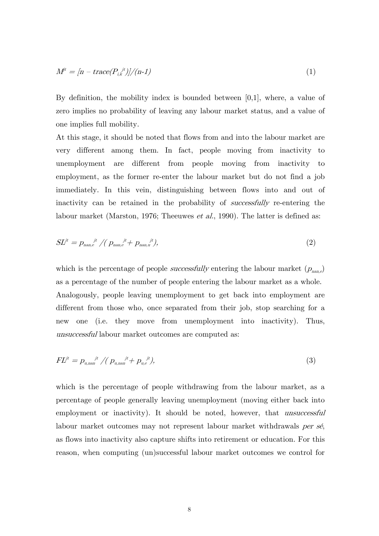$$
M^{i} = \frac{[n - trace(P_{i,k}^{i})]}{[n-1]}
$$
\n
$$
(1)
$$

By definition, the mobility index is bounded between  $[0,1]$ , where, a value of zero implies no probability of leaving any labour market status, and a value of one implies full mobility.

At this stage, it should be noted that flows from and into the labour market are very different among them. In fact, people moving from inactivity to unemployment are different from people moving from inactivity to employment, as the former re-enter the labour market but do not find a job immediately. In this vein, distinguishing between flows into and out of inactivity can be retained in the probability of *successfully* re-entering the labour market (Marston, 1976; Theeuwes *et al.*, 1990). The latter is defined as:

$$
S L^{jt} = p_{\text{nan},e}^{\quad \ \ \, jt} \big/ \big( \, p_{\text{nan},e}^{\quad \ \ \, jt} + p_{\text{nan},u}^{\quad \ \ \, \, jt} \big),\tag{2}
$$

which is the percentage of people *successfully* entering the labour market  $(p_{\text{nan},e})$ as a percentage of the number of people entering the labour market as a whole. Analogously, people leaving unemployment to get back into employment are different from those who, once separated from their job, stop searching for a new one (i.e. they move from unemployment into inactivity). Thus, unsuccessful labour market outcomes are computed as:

$$
FL^{it} = p_{u,nan}^{i} / (p_{u,nan}^{i} + p_{u,e}^{i})
$$
\n(3)

which is the percentage of people withdrawing from the labour market, as a percentage of people generally leaving unemployment (moving either back into employment or inactivity). It should be noted, however, that *unsuccessful* labour market outcomes may not represent labour market withdrawals per sé, as flows into inactivity also capture shifts into retirement or education. For this reason, when computing (un)successful labour market outcomes we control for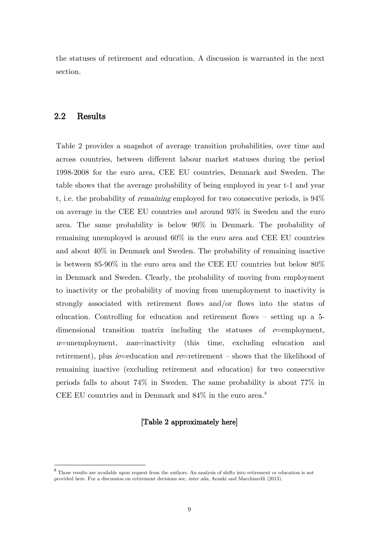the statuses of retirement and education. A discussion is warranted in the next section.

## 2.2 Results

Table 2 provides a snapshot of average transition probabilities, over time and across countries, between different labour market statuses during the period 1998-2008 for the euro area, CEE EU countries, Denmark and Sweden. The table shows that the average probability of being employed in year t-1 and year t, i.e. the probability of remaining employed for two consecutive periods, is 94% on average in the CEE EU countries and around 93% in Sweden and the euro area. The same probability is below 90% in Denmark. The probability of remaining unemployed is around 60% in the euro area and CEE EU countries and about 40% in Denmark and Sweden. The probability of remaining inactive is between 85-90% in the euro area and the CEE EU countries but below 80% in Denmark and Sweden. Clearly, the probability of moving from employment to inactivity or the probability of moving from unemployment to inactivity is strongly associated with retirement flows and/or flows into the status of education. Controlling for education and retirement flows – setting up a 5 dimensional transition matrix including the statuses of  $e$ =employment,  $u$ =unemployment, *nan*=inactivity (this time, excluding education and retirement), plus *ie*=education and *re*=retirement – shows that the likelihood of remaining inactive (excluding retirement and education) for two consecutive periods falls to about 74% in Sweden. The same probability is about 77% in CEE EU countries and in Denmark and  $84\%$  $84\%$  in the euro area.<sup>8</sup>

#### [Table 2 approximately here]

<span id="page-10-0"></span><sup>&</sup>lt;sup>8</sup> Those results are available upon request from the authors. An analysis of shifts into retirement or education is not provided here. For a discussion on retirement decisions see, inter alia, Aranki and Macchiarelli (2013).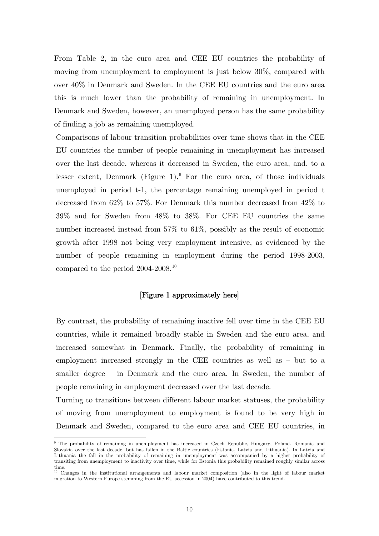From Table 2, in the euro area and CEE EU countries the probability of moving from unemployment to employment is just below 30%, compared with over 40% in Denmark and Sweden. In the CEE EU countries and the euro area this is much lower than the probability of remaining in unemployment. In Denmark and Sweden, however, an unemployed person has the same probability of finding a job as remaining unemployed.

Comparisons of labour transition probabilities over time shows that in the CEE EU countries the number of people remaining in unemployment has increased over the last decade, whereas it decreased in Sweden, the euro area, and, to a lesser extent, Denmark (Figure 1). For the euro area, of those individuals unemployed in period t-1, the percentage remaining unemployed in period t decreased from 62% to 57%. For Denmark this number decreased from 42% to 39% and for Sweden from 48% to 38%. For CEE EU countries the same number increased instead from 57% to 61%, possibly as the result of economic growth after 1998 not being very employment intensive, as evidenced by the number of people remaining in employment during the period 1998-2003, compared to the period 2004-2008.<sup>[10](#page-11-0)</sup>

#### [Figure 1 approximately here]

By contrast, the probability of remaining inactive fell over time in the CEE EU countries, while it remained broadly stable in Sweden and the euro area, and increased somewhat in Denmark. Finally, the probability of remaining in employment increased strongly in the CEE countries as well as – but to a smaller degree – in Denmark and the euro area. In Sweden, the number of people remaining in employment decreased over the last decade.

Turning to transitions between different labour market statuses, the probability of moving from unemployment to employment is found to be very high in Denmark and Sweden, compared to the euro area and CEE EU countries, in

<span id="page-11-1"></span>-

<sup>9</sup> The probability of remaining in unemployment has increased in Czech Republic, Hungary, Poland, Romania and Slovakia over the last decade, but has fallen in the Baltic countries (Estonia, Latvia and Lithuania). In Latvia and Lithuania the fall in the probability of remaining in unemployment was accompanied by a higher probability of transiting from unemployment to inactivity over time, while for Estonia this probability remained roughly similar across time.

<span id="page-11-0"></span><sup>&</sup>lt;sup>10</sup> Changes in the institutional arrangements and labour market composition (also in the light of labour market migration to Western Europe stemming from the EU accession in 2004) have contributed to this trend.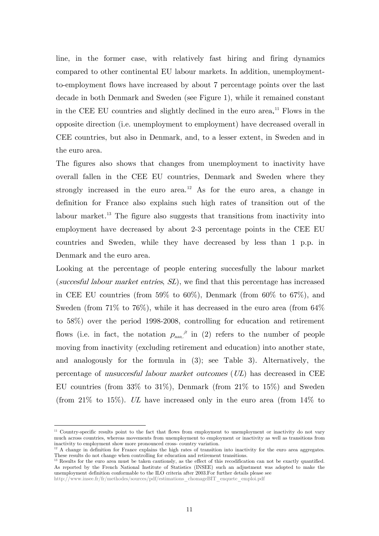line, in the former case, with relatively fast hiring and firing dynamics compared to other continental EU labour markets. In addition, unemploymentto-employment flows have increased by about 7 percentage points over the last decade in both Denmark and Sweden (see Figure 1), while it remained constant in the CEE EU countries and slightly declined in the euro area. [11](#page-11-1) Flows in the opposite direction (i.e. unemployment to employment) have decreased overall in CEE countries, but also in Denmark, and, to a lesser extent, in Sweden and in the euro area.

The figures also shows that changes from unemployment to inactivity have overall fallen in the CEE EU countries, Denmark and Sweden where they strongly increased in the euro area.<sup>[12](#page-12-0)</sup> As for the euro area, a change in definition for France also explains such high rates of transition out of the labour market.<sup>[13](#page-12-1)</sup> The figure also suggests that transitions from inactivity into employment have decreased by about 2-3 percentage points in the CEE EU countries and Sweden, while they have decreased by less than 1 p.p. in Denmark and the euro area.

Looking at the percentage of people entering succesfully the labour market (succesful labour market entries, SL), we find that this percentage has increased in CEE EU countries (from 59% to 60%), Denmark (from 60% to 67%), and Sweden (from 71% to 76%), while it has decreased in the euro area (from 64% to 58%) over the period 1998-2008, controlling for education and retirement flows (i.e. in fact, the notation  $p_{\text{nan}}^{j}$  in (2) refers to the number of people moving from inactivity (excluding retirement and education) into another state, and analogously for the formula in (3); see Table 3). Alternatively, the percentage of unsuccesful labour market outcomes  $(UL)$  has decreased in CEE EU countries (from  $33\%$  to  $31\%$ ), Denmark (from  $21\%$  to  $15\%$ ) and Sweden (from 21\% to 15\%). UL have increased only in the euro area (from  $14\%$  to

-

<sup>&</sup>lt;sup>11</sup> Country-specific results point to the fact that flows from employment to unemployment or inactivity do not vary much across countries, whereas movements from unemployment to employment or inactivity as well as transitions from inactivity to employment show more pronounced cross- country variation.

<span id="page-12-2"></span><span id="page-12-0"></span><sup>&</sup>lt;sup>12</sup> A change in definition for France explains the high rates of transition into inactivity for the euro area aggregates. These results do not change when controlling for education and retirement transitions.

<span id="page-12-1"></span><sup>&</sup>lt;sup>13</sup> Results for the euro area must be taken cautionsly, as the effect of this recodification can not be exactly quantified. As reported by the French National Institute of Statistics (INSEE) such an adjustment was adopted to make the unemployment definition conformable to the ILO criteria after 2003.For further details please see

http://www.insee.fr/fr/methodes/sources/pdf/estimations\_chomageBIT\_enquete\_emploi.pdf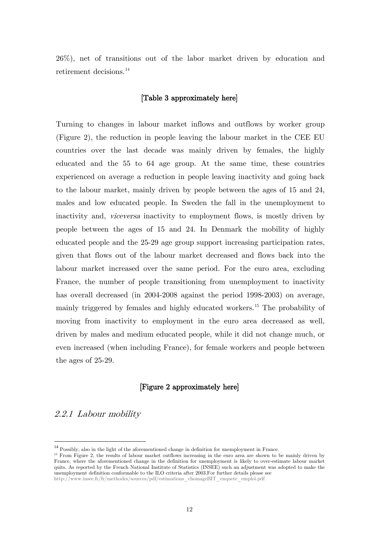26%), net of transitions out of the labor market driven by education and retirement decisions.<sup>[14](#page-12-2)</sup>

#### [Table 3 approximately here]

Turning to changes in labour market inflows and outflows by worker group (Figure 2), the reduction in people leaving the labour market in the CEE EU countries over the last decade was mainly driven by females, the highly educated and the 55 to 64 age group. At the same time, these countries experienced on average a reduction in people leaving inactivity and going back to the labour market, mainly driven by people between the ages of 15 and 24, males and low educated people. In Sweden the fall in the unemployment to inactivity and, *viceversa* inactivity to employment flows, is mostly driven by people between the ages of 15 and 24. In Denmark the mobility of highly educated people and the 25-29 age group support increasing participation rates, given that flows out of the labour market decreased and flows back into the labour market increased over the same period. For the euro area, excluding France, the number of people transitioning from unemployment to inactivity has overall decreased (in 2004-2008 against the period 1998-2003) on average, mainly triggered by females and highly educated workers.<sup>[15](#page-13-0)</sup> The probability of moving from inactivity to employment in the euro area decreased as well, driven by males and medium educated people, while it did not change much, or even increased (when including France), for female workers and people between the ages of 25-29.

#### [Figure 2 approximately here]

2.2.1 Labour mobility

<span id="page-13-1"></span><sup>&</sup>lt;sup>14</sup> Possibly, also in the light of the aforementioned change in definition for unemployment in France.

<span id="page-13-0"></span><sup>&</sup>lt;sup>15</sup> From Figure 2, the results of labour market outflows increasing in the euro area are shown to be mainly driven by France, where the aforementioned change in the definition for unemployment is likely to over-estimate labour market quits. As reported by the French National Institute of Statistics (INSEE) such an adjustment was adopted to make the unemployment definition conformable to the ILO criteria after 2003.For further details please see

http://www.insee.fr/fr/methodes/sources/pdf/estimations\_chomageBIT\_enquete\_emploi.pdf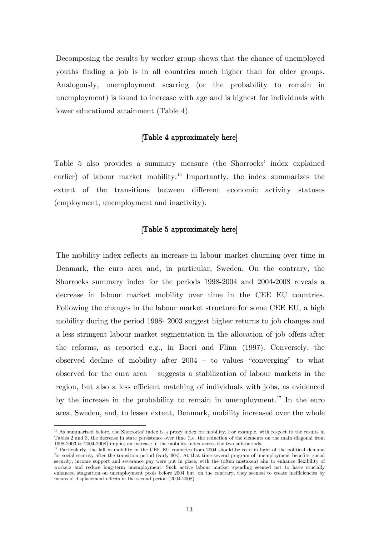Decomposing the results by worker group shows that the chance of unemployed youths finding a job is in all countries much higher than for older groups. Analogously, unemployment scarring (or the probability to remain in unemployment) is found to increase with age and is highest for individuals with lower educational attainment (Table 4).

#### [Table 4 approximately here]

Table 5 also provides a summary measure (the Shorrocks' index explained earlier) of labour market mobility.<sup>[16](#page-13-1)</sup> Importantly, the index summarizes the extent of the transitions between different economic activity statuses (employment, unemployment and inactivity).

#### [Table 5 approximately here]

The mobility index reflects an increase in labour market churning over time in Denmark, the euro area and, in particular, Sweden. On the contrary, the Shorrocks summary index for the periods 1998-2004 and 2004-2008 reveals a decrease in labour market mobility over time in the CEE EU countries. Following the changes in the labour market structure for some CEE EU, a high mobility during the period 1998- 2003 suggest higher returns to job changes and a less stringent labour market segmentation in the allocation of job offers after the reforms, as reported e.g., in Boeri and Flinn (1997). Conversely, the observed decline of mobility after 2004 – to values "converging" to what observed for the euro area – suggests a stabilization of labour markets in the region, but also a less efficient matching of individuals with jobs, as evidenced by the increase in the probability to remain in unemployment.<sup>[17](#page-14-0)</sup> In the euro area, Sweden, and, to lesser extent, Denmark, mobility increased over the whole

-

<sup>&</sup>lt;sup>16</sup> As summarized before, the Shorrocks' index is a proxy index for mobility. For example, with respect to the results in Tables 2 and 3, the decrease in state persistence over time (i.e. the reduction of the elements on the main diagonal from 1998-2003 to 2004-2008) implies an increase in the mobility index across the two sub-periods.

<span id="page-14-1"></span><span id="page-14-0"></span><sup>&</sup>lt;sup>17</sup> Particularly, the fall in mobility in the CEE EU countries from 2004 should be read in light of the political demand for social security after the transition period (early 90s). At that time several program of unemployment benefits, social security, income support and severance pay were put in place, with the (often mistaken) aim to enhance flexibility of workers and reduce long-term unemployment. Such active labour market spending seemed not to have crucially enhanced stagnation on unemployment pools before 2004 but, on the contrary, they seemed to create inefficiencies by means of displacement effects in the second period (2004-2008).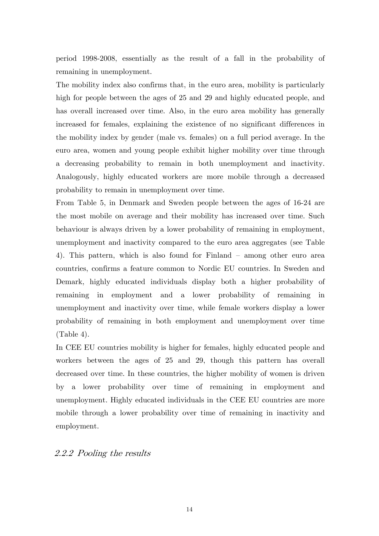period 1998-2008, essentially as the result of a fall in the probability of remaining in unemployment.

The mobility index also confirms that, in the euro area, mobility is particularly high for people between the ages of 25 and 29 and highly educated people, and has overall increased over time. Also, in the euro area mobility has generally increased for females, explaining the existence of no significant differences in the mobility index by gender (male vs. females) on a full period average. In the euro area, women and young people exhibit higher mobility over time through a decreasing probability to remain in both unemployment and inactivity. Analogously, highly educated workers are more mobile through a decreased probability to remain in unemployment over time.

From Table 5, in Denmark and Sweden people between the ages of 16-24 are the most mobile on average and their mobility has increased over time. Such behaviour is always driven by a lower probability of remaining in employment, unemployment and inactivity compared to the euro area aggregates (see Table 4). This pattern, which is also found for Finland – among other euro area countries, confirms a feature common to Nordic EU countries. In Sweden and Demark, highly educated individuals display both a higher probability of remaining in employment and a lower probability of remaining in unemployment and inactivity over time, while female workers display a lower probability of remaining in both employment and unemployment over time (Table 4).

In CEE EU countries mobility is higher for females, highly educated people and workers between the ages of 25 and 29, though this pattern has overall decreased over time. In these countries, the higher mobility of women is driven by a lower probability over time of remaining in employment and unemployment. Highly educated individuals in the CEE EU countries are more mobile through a lower probability over time of remaining in inactivity and employment.

# 2.2.2 Pooling the results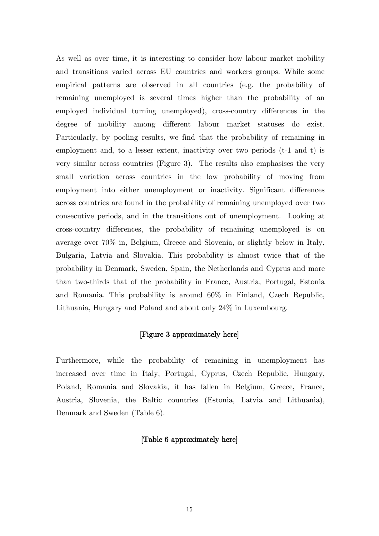As well as over time, it is interesting to consider how labour market mobility and transitions varied across EU countries and workers groups. While some empirical patterns are observed in all countries (e.g. the probability of remaining unemployed is several times higher than the probability of an employed individual turning unemployed), cross-country differences in the degree of mobility among different labour market statuses do exist. Particularly, by pooling results, we find that the probability of remaining in employment and, to a lesser extent, inactivity over two periods (t-1 and t) is very similar across countries (Figure 3). The results also emphasises the very small variation across countries in the low probability of moving from employment into either unemployment or inactivity. Significant differences across countries are found in the probability of remaining unemployed over two consecutive periods, and in the transitions out of unemployment. Looking at cross-country differences, the probability of remaining unemployed is on average over 70% in, Belgium, Greece and Slovenia, or slightly below in Italy, Bulgaria, Latvia and Slovakia. This probability is almost twice that of the probability in Denmark, Sweden, Spain, the Netherlands and Cyprus and more than two-thirds that of the probability in France, Austria, Portugal, Estonia and Romania. This probability is around 60% in Finland, Czech Republic, Lithuania, Hungary and Poland and about only 24% in Luxembourg.

#### [Figure 3 approximately here]

Furthermore, while the probability of remaining in unemployment has increased over time in Italy, Portugal, Cyprus, Czech Republic, Hungary, Poland, Romania and Slovakia, it has fallen in Belgium, Greece, France, Austria, Slovenia, the Baltic countries (Estonia, Latvia and Lithuania), Denmark and Sweden (Table 6).

#### [Table 6 approximately here]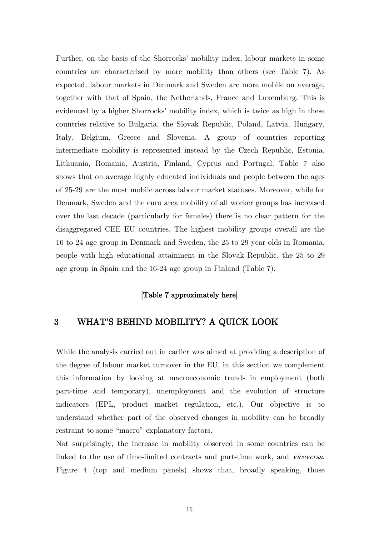Further, on the basis of the Shorrocks' mobility index, labour markets in some countries are characterised by more mobility than others (see Table 7). As expected, labour markets in Denmark and Sweden are more mobile on average, together with that of Spain, the Netherlands, France and Luxemburg. This is evidenced by a higher Shorrocks' mobility index, which is twice as high in these countries relative to Bulgaria, the Slovak Republic, Poland, Latvia, Hungary, Italy, Belgium, Greece and Slovenia. A group of countries reporting intermediate mobility is represented instead by the Czech Republic, Estonia, Lithuania, Romania, Austria, Finland, Cyprus and Portugal. Table 7 also shows that on average highly educated individuals and people between the ages of 25-29 are the most mobile across labour market statuses. Moreover, while for Denmark, Sweden and the euro area mobility of all worker groups has increased over the last decade (particularly for females) there is no clear pattern for the disaggregated CEE EU countries. The highest mobility groups overall are the 16 to 24 age group in Denmark and Sweden, the 25 to 29 year olds in Romania, people with high educational attainment in the Slovak Republic, the 25 to 29 age group in Spain and the 16-24 age group in Finland (Table 7).

#### [Table 7 approximately here]

# 3 WHAT'S BEHIND MOBILITY? A QUICK LOOK

While the analysis carried out in earlier was aimed at providing a description of the degree of labour market turnover in the EU, in this section we complement this information by looking at macroeconomic trends in employment (both part-time and temporary), unemployment and the evolution of structure indicators (EPL, product market regulation, etc.). Our objective is to understand whether part of the observed changes in mobility can be broadly restraint to some "macro" explanatory factors.

Not surprisingly, the increase in mobility observed in some countries can be linked to the use of time-limited contracts and part-time work, and viceversa. Figure 4 (top and medium panels) shows that, broadly speaking, those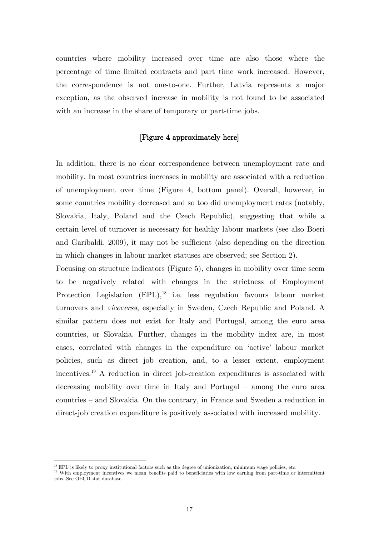countries where mobility increased over time are also those where the percentage of time limited contracts and part time work increased. However, the correspondence is not one-to-one. Further, Latvia represents a major exception, as the observed increase in mobility is not found to be associated with an increase in the share of temporary or part-time jobs.

#### [Figure 4 approximately here]

In addition, there is no clear correspondence between unemployment rate and mobility. In most countries increases in mobility are associated with a reduction of unemployment over time (Figure 4, bottom panel). Overall, however, in some countries mobility decreased and so too did unemployment rates (notably, Slovakia, Italy, Poland and the Czech Republic), suggesting that while a certain level of turnover is necessary for healthy labour markets (see also Boeri and Garibaldi, 2009), it may not be sufficient (also depending on the direction in which changes in labour market statuses are observed; see Section 2).

Focusing on structure indicators (Figure 5), changes in mobility over time seem to be negatively related with changes in the strictness of Employment Protection Legislation (EPL),<sup>[18](#page-14-1)</sup> i.e. less regulation favours labour market turnovers and viceversa, especially in Sweden, Czech Republic and Poland. A similar pattern does not exist for Italy and Portugal, among the euro area countries, or Slovakia. Further, changes in the mobility index are, in most cases, correlated with changes in the expenditure on 'active' labour market policies, such as direct job creation, and, to a lesser extent, employment incentives. [19](#page-18-0) A reduction in direct job-creation expenditures is associated with decreasing mobility over time in Italy and Portugal – among the euro area countries – and Slovakia. On the contrary, in France and Sweden a reduction in direct-job creation expenditure is positively associated with increased mobility.

<span id="page-18-1"></span> $^{18}$  EPL is likely to proxy institutional factors such as the degree of unionization, minimum wage policies, etc.

<span id="page-18-0"></span><sup>&</sup>lt;sup>19</sup> With employment incentives we mean benefits paid to beneficiaries with low earning from part-time or intermittent jobs. See OECD.stat database.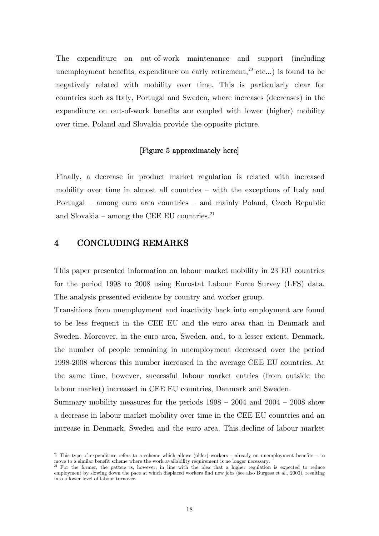The expenditure on out-of-work maintenance and support (including unemployment benefits, expenditure on early retirement,<sup>[20](#page-18-1)</sup> etc...) is found to be negatively related with mobility over time. This is particularly clear for countries such as Italy, Portugal and Sweden, where increases (decreases) in the expenditure on out-of-work benefits are coupled with lower (higher) mobility over time. Poland and Slovakia provide the opposite picture.

#### [Figure 5 approximately here]

Finally, a decrease in product market regulation is related with increased mobility over time in almost all countries – with the exceptions of Italy and Portugal – among euro area countries – and mainly Poland, Czech Republic and Slovakia – among the CEE EU countries.<sup>[21](#page-19-0)</sup>

# 4 CONCLUDING REMARKS

-

This paper presented information on labour market mobility in 23 EU countries for the period 1998 to 2008 using Eurostat Labour Force Survey (LFS) data. The analysis presented evidence by country and worker group.

Transitions from unemployment and inactivity back into employment are found to be less frequent in the CEE EU and the euro area than in Denmark and Sweden. Moreover, in the euro area, Sweden, and, to a lesser extent, Denmark, the number of people remaining in unemployment decreased over the period 1998-2008 whereas this number increased in the average CEE EU countries. At the same time, however, successful labour market entries (from outside the labour market) increased in CEE EU countries, Denmark and Sweden.

Summary mobility measures for the periods 1998 – 2004 and 2004 – 2008 show a decrease in labour market mobility over time in the CEE EU countries and an increase in Denmark, Sweden and the euro area. This decline of labour market

<sup>&</sup>lt;sup>20</sup> This type of expenditure refers to a scheme which allows (older) workers – already on unemployment benefits – to move to a similar benefit scheme where the work availability requirement is no longer necessary.

<span id="page-19-1"></span><span id="page-19-0"></span><sup>&</sup>lt;sup>21</sup> For the former, the patters is, however, in line with the idea that a higher regulation is expected to reduce employment by slowing down the pace at which displaced workers find new jobs (see also Burgess et al., 2000), resulting into a lower level of labour turnover.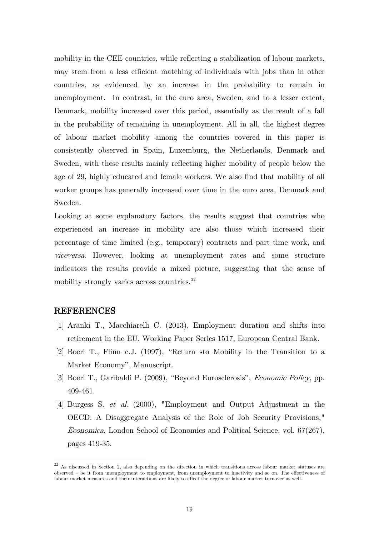mobility in the CEE countries, while reflecting a stabilization of labour markets, may stem from a less efficient matching of individuals with jobs than in other countries, as evidenced by an increase in the probability to remain in unemployment. In contrast, in the euro area, Sweden, and to a lesser extent, Denmark, mobility increased over this period, essentially as the result of a fall in the probability of remaining in unemployment. All in all, the highest degree of labour market mobility among the countries covered in this paper is consistently observed in Spain, Luxemburg, the Netherlands, Denmark and Sweden, with these results mainly reflecting higher mobility of people below the age of 29, highly educated and female workers. We also find that mobility of all worker groups has generally increased over time in the euro area, Denmark and Sweden.

Looking at some explanatory factors, the results suggest that countries who experienced an increase in mobility are also those which increased their percentage of time limited (e.g., temporary) contracts and part time work, and viceversa. However, looking at unemployment rates and some structure indicators the results provide a mixed picture, suggesting that the sense of mobility strongly varies across countries.<sup>[22](#page-19-1)</sup>

#### REFERENCES

- [1] Aranki T., Macchiarelli C. (2013), Employment duration and shifts into retirement in the EU, Working Paper Series 1517, European Central Bank.
- [2] Boeri T., Flinn c.J. (1997), "Return sto Mobility in the Transition to a Market Economy", Manuscript.
- [3] Boeri T., Garibaldi P. (2009), "Beyond Eurosclerosis", Economic Policy, pp. 409-461.
- [4] Burgess S. et al. (2000), "Employment and Output Adjustment in the OECD: A Disaggregate Analysis of the Role of Job Security Provisions," Economica, London School of Economics and Political Science, vol. 67(267), pages 419-35.

<sup>&</sup>lt;sup>22</sup> As discussed in Section 2, also depending on the direction in which transitions across labour market statuses are observed – be it from unemployment to employment, from unemployment to inactivity and so on. The effectiveness of labour market measures and their interactions are likely to affect the degree of labour market turnover as well.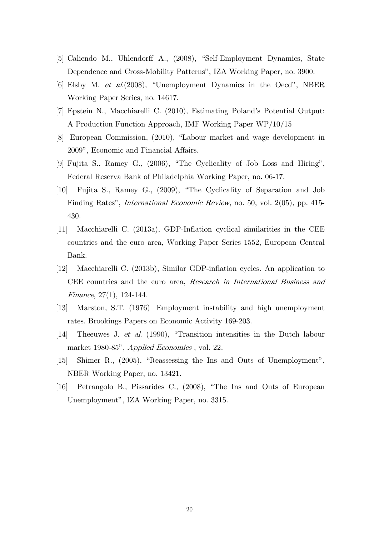- [5] Caliendo M., Uhlendorff A., (2008), "Self-Employment Dynamics, State Dependence and Cross-Mobility Patterns", IZA Working Paper, no. 3900.
- [6] Elsby M. et al.(2008), "Unemployment Dynamics in the Oecd", NBER Working Paper Series, no. 14617.
- [7] Epstein N., Macchiarelli C. (2010), Estimating Poland's Potential Output: A Production Function Approach, IMF Working Paper WP/10/15
- [8] European Commission, (2010), "Labour market and wage development in 2009", Economic and Financial Affairs.
- [9] Fujita S., Ramey G., (2006), "The Cyclicality of Job Loss and Hiring", Federal Reserva Bank of Philadelphia Working Paper, no. 06-17.
- [10] Fujita S., Ramey G., (2009), "The Cyclicality of Separation and Job Finding Rates", International Economic Review, no. 50, vol. 2(05), pp. 415- 430.
- [11] Macchiarelli C. (2013a), GDP-Inflation cyclical similarities in the CEE countries and the euro area, Working Paper Series 1552, European Central Bank.
- [12] Macchiarelli C. (2013b), Similar GDP-inflation cycles. An application to CEE countries and the euro area, Research in International Business and Finance, 27(1), 124-144.
- [13] Marston, S.T. (1976) Employment instability and high unemployment rates. Brookings Papers on Economic Activity 169-203.
- [14] Theeuwes J. et al. (1990), "Transition intensities in the Dutch labour market 1980-85", Applied Economics , vol. 22.
- [15] Shimer R., (2005), "Reassessing the Ins and Outs of Unemployment", NBER Working Paper, no. 13421.
- [16] Petrangolo B., Pissarides C., (2008), "The Ins and Outs of European Unemployment", IZA Working Paper, no. 3315.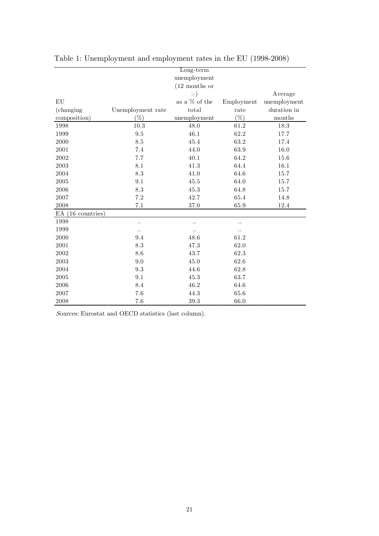|                     |                      | Long-term            |            |              |
|---------------------|----------------------|----------------------|------------|--------------|
|                     |                      | unemployment         |            |              |
|                     |                      | $(12$ months or      |            |              |
|                     |                      | $\gt)$               |            | Average      |
| EU                  |                      | as a % of the        | Employment | unemployment |
| (changing)          | Unemployment rate    | total                | rate       | duration in  |
| composition)        | $(\%)$               | unemployment         | $(\%)$     | $\rm months$ |
| 1998                | 10.3                 | 48.0                 | 61.2       | 18.3         |
| 1999                | $\,9.5$              | 46.1                 | 62.2       | 17.7         |
| 2000                | 8.5                  | 45.4                 | 63.2       | 17.4         |
| 2001                | 7.4                  | 44.0                 | 63.9       | 16.0         |
| $\,2002\,$          | 7.7                  | 40.1                 | 64.2       | 15.6         |
| 2003                | 8.1                  | 41.3                 | 64.4       | 16.1         |
| 2004                | 8.3                  | 41.0                 | 64.6       | 15.7         |
| 2005                | 9.1                  | 45.5                 | 64.0       | 15.7         |
| $\,2006\,$          | $\!\!\!\!\!8.3$      | 45.3                 | 64.8       | 15.7         |
| 2007                | $7.2\,$              | 42.7                 | 65.4       | 14.8         |
| 2008                | 7.1                  | 37.0                 | 65.9       | 12.4         |
| $EA$ (16 countries) |                      |                      |            |              |
| 1998                | $\ddot{\phantom{0}}$ | $\ddotsc$            |            |              |
| 1999                | $\ddotsc$            | $\ddot{\phantom{0}}$ |            |              |
| 2000                | 9.4                  | 48.6                 | 61.2       |              |
| 2001                | 8.3                  | 47.3                 | 62.0       |              |
| 2002                | 8.6                  | 43.7                 | 62.3       |              |
| 2003                | 9.0                  | 45.0                 | 62.6       |              |
| 2004                | 9.3                  | 44.6                 | 62.8       |              |
| 2005                | 9.1                  | 45.3                 | 63.7       |              |
| 2006                | 8.4                  | 46.2                 | 64.6       |              |
| 2007                | 7.6                  | 44.3                 | 65.6       |              |
| 2008                | 7.6                  | 39.3                 | 66.0       |              |

Table 1: Unemployment and employment rates in the EU (1998-2008)

Sources: Eurostat and OECD statistics (last column).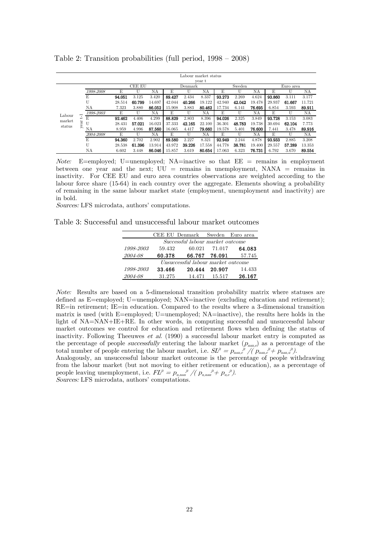|        |                          |           |        |               |        |        | Labour market status |        |        |        |        |           |        |        |  |  |
|--------|--------------------------|-----------|--------|---------------|--------|--------|----------------------|--------|--------|--------|--------|-----------|--------|--------|--|--|
|        |                          |           |        |               |        |        |                      | year t |        |        |        |           |        |        |  |  |
|        |                          |           |        | <b>CEE EU</b> |        |        | Denmark              |        |        | Sweden |        | Euro area |        |        |  |  |
|        |                          | 1998-2008 | E      | U             | ΝA     | E      | U                    | ΝA     | E      | U      | ΝA     | E         | U      | ΝA     |  |  |
|        |                          | E         | 94.051 | 3.125         | 3.420  | 89.427 | 2.434                | 8.337  | 93.273 | 2.269  | 4.624  | 93.860    | 3.111  | 3.177  |  |  |
|        |                          | U         | 28.514 | 60.799        | 14.697 | 42.044 | 40.266               | 19.122 | 42.940 | 42.042 | 19.478 | 29.937    | 61.667 | 11.721 |  |  |
|        |                          | NA        | 7.323  | 3.880         | 86.052 | 15.908 | 3.883                | 80.462 | 17.734 | 6.141  | 76.695 | 6.854     | 3.593  | 89.911 |  |  |
| Labour | $\overline{\phantom{0}}$ | 1998-2003 | E      | U             | ΝA     | E      | U                    | NA     | E      | U      | ΝA     | E         | U      | ΝA     |  |  |
| market | ↵                        | E         | 92.462 | 4.406         | 4.299  | 88.829 | 2.803                | 8.396  | 94.026 | 2.325  | 3.849  | 93.728    | 3.153  | 3.083  |  |  |
| status | ear                      | U         | 28.431 | 57.021        | 16.023 | 37.333 | 42.165               | 22.100 | 36.301 | 48.783 | 19.738 | 30.694    | 62.104 | 7.773  |  |  |
|        |                          | NΑ        | 8.959  | 4.996         | 87.560 | 16.065 | 4.417                | 79.660 | 19.578 | 5.401  | 76.600 | 7.441     | 3.478  | 89.916 |  |  |
|        |                          | 2004-2008 | E      | U             | ΝA     | E      | U                    | NA     | E      | U      | ΝA     | E         | U      | NA     |  |  |
|        |                          | E         | 94.360 | 2.702         | 2.902  | 89.580 | 2.227                | 8.321  | 92.949 | 2.244  | 4.878  | 93.933    | 2.885  | 3.208  |  |  |
|        |                          | U         | 28.538 | 61.396        | 13.914 | 43.972 | 39.226               | 17.558 | 44.778 | 38.781 | 19.400 | 29.557    | 57.289 | 13.353 |  |  |
|        |                          | ΝA        | 6.602  | 3.448         | 86.046 | 15.857 | 3.619                | 80.654 | 17.063 | 6.323  | 76.731 | 6.792     | 3.670  | 89.554 |  |  |

Table 2: Transition probabilities (full period, 1998 – 2008)

Note: E=employed; U=unemployed; NA=inactive so that  $EE =$  remains in employment between one year and the next;  $UU =$  remains in unemployment,  $NANA =$  remains in inactivity. For CEE EU and euro area countries observations are weighted according to the labour force share (15-64) in each country over the aggregate. Elements showing a probability of remaining in the same labour market state (employment, unemployment and inactivity) are in bold.

Sources: LFS microdata, authors' computations.

Table 3: Successful and unsuccessful labour market outcomes

|           |                                    | CEE EU Denmark Sweden Euro area  |        |        |  |  |  |  |  |  |  |  |  |  |
|-----------|------------------------------------|----------------------------------|--------|--------|--|--|--|--|--|--|--|--|--|--|
|           |                                    | Successful labour market outcome |        |        |  |  |  |  |  |  |  |  |  |  |
| 1998-2003 | 59.432                             | 60.021                           | 71.017 | 64.083 |  |  |  |  |  |  |  |  |  |  |
| 2004-08   | 60.378                             | 66.767                           | 76.091 | 57.745 |  |  |  |  |  |  |  |  |  |  |
|           | Unsuccessful labour market outcome |                                  |        |        |  |  |  |  |  |  |  |  |  |  |
| 1998-2003 | 33.466                             | 20.444                           | 20.907 | 14.433 |  |  |  |  |  |  |  |  |  |  |
| 2004-08   | 31.275                             | 14.471                           | 15.517 | 26.167 |  |  |  |  |  |  |  |  |  |  |

Note: Results are based on a 5-dimensional transition probability matrix where statuses are defined as E=employed; U=unemployed; NAN=inactive (excluding education and retirement); RE=in retirement; IE=in education. Compared to the results where a 3-dimensional transition matrix is used (with E=employed; U=unemployed; NA=inactive), the results here holds in the light of NA=NAN+IE+RE. In other words, in computing successful and unsuccessful labour market outcomes we control for education and retirement flows when defining the status of inactivity. Following Theeuwes et al. (1990) a successful labour market entry is computed as the percentage of people *successfully* entering the labour market  $(p_{\text{nan},e})$  as a percentage of the total number of people entering the labour market, i.e.  $SL^t = p_{\text{name},e}^{j\textit{t}} / (p_{\text{name},e}^{j\textit{t}} + p_{\text{name},u}^{j\textit{t}})$ .

Analogously, an unsuccessful labour market outcome is the percentage of people withdrawing from the labour market (but not moving to either retirement or education), as a percentage of people leaving unemployment, i.e.  $FL^{jt} = p_{u,nan}^{j} \cdot p_{u,an}^{j} \cdot p_{u,e}^{j} \cdot p_{u,e}^{j}$ Sources: LFS microdata, authors' computations.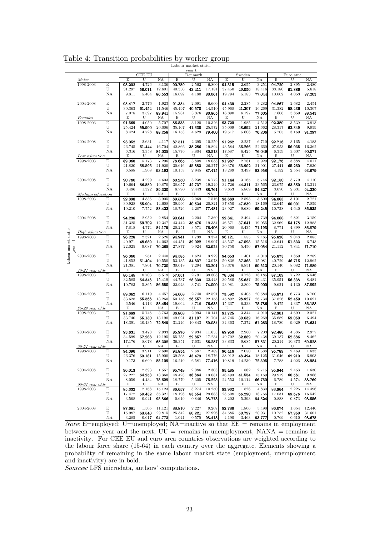|                                  |                   |         |                  |                 |                  |                  | Labour market status |                  |                  |                 |                  |                  |                  |                  |
|----------------------------------|-------------------|---------|------------------|-----------------|------------------|------------------|----------------------|------------------|------------------|-----------------|------------------|------------------|------------------|------------------|
|                                  |                   |         |                  |                 |                  |                  | year t               |                  |                  |                 |                  |                  |                  |                  |
|                                  | <i>Males</i>      |         | E                | CEE EU<br>U     | NA               | E                | Denmark<br>U         | NA               | E                | Sweden<br>U     | NA               | E                | Euro area<br>U   | NA               |
|                                  | 1998-2003         | E       | 93.202           | 4.726           | 3.136            | 90.759           | 2.562                | 6.800            | 94.315           | 2.655           | 3.251            | 94.720           | 2.895            | 2.480            |
|                                  |                   | U       | 31.297           | 58.011          | 12.601           | 40.330           | 43.411               | 17.181           | 37.450           | 49.050          | 18.416           | 33.180           | 61.886           | 5.618            |
|                                  |                   | ΝA      | 9.811            | 5.404           | 86.553           | 16.092           | 4.180                | 80.061           | 19.794           | 5.183           | 77.044           | 10.002           | 4.053            | 87.203           |
|                                  |                   |         |                  | 2.776           | 1.923            | 91.354           |                      |                  |                  | 2.285           | 3.282            | 94.867           | 2.682            |                  |
|                                  | 2004-2008         | E<br>U  | 95.417<br>30.363 | 61.454          | 11.546           | 45.497           | 2.091<br>40.570      | 6.660<br>14.510  | 94.439<br>45.968 | 41.207          | 16.269           | 31.382           | 58.436           | 2.454<br>10.307  |
|                                  |                   | ΝA      | 7.078            | 3.597           | 89.941           | 15.981           | 3.376                | 80.865           | 16.390           | 6.197           | 77.605           | 7.606            | 3.859            | 88.543           |
|                                  | <i>Females</i>    |         | E                | U               | ΝA               | Е                | U                    | ΝA               | Е                | U               | NA               | E                | U                | ΝA               |
|                                  | 1998-2003         | E       | 91.569           | 4.050           | 5.707            | 86.535           | 3.120                | 10.326           | 93.720           | 1.985           | 4.512            | 92.380           | 3.539            | 3.913            |
|                                  |                   | U       | 25.424           | 55.900          | 20.006           | 35.167           | 41.330               | 25.572           | 35.009           | 48.692          | 21.662           | 28.317           | 62.349           | 9.959            |
|                                  |                   | ΝA      | 8.424            | 4.728           | 88.258           | 16.153           | 4.629                | 79.400           | 19.517           | 5.606           | 76.206           | 5.705            | 3.169            | 91.297           |
|                                  | 2004-2008         | E       | 93.052           | 2.631           | 4.117            | 87.511           | 2.395                | 10.259           | 91.262           | 2.237           | 6.710            | 92.716           | 3.165            | 4.183            |
|                                  |                   | U       | 26.745           | 61.444          | 16.704           | 42.866           | 38.286               | 19.894           | 43.584           | 36.266          | 22.660           | 27.953           | 56.035           | 16.362           |
|                                  |                   | ΝA      | 6.316            | 3.358           | 84.035           | 15.776           | 3.804                | 80.513           | 17.587           | 6.425           | 76.049           | 6.359            | 3.607            | 90.071           |
|                                  | Low education     |         | E                | U               | NA               | E                | U                    | ΝA               | Е                | U               | ΝA               | E                | U                | NA               |
|                                  | 1998-2003         | Е       | 89.068           | 5.173           | 7.296            | 78.665           | 3.808                | 18.038           | 91.987           | 2.781           | 5.929            | 92.176           | 3.888            | 4.011            |
|                                  |                   | U       | 21.820           | 58.596          | 21.920           | 30.616           | 45.883               | 26.277           | 30.376           | 53.902          | 21.901           | 27.441           | 65.260           | 7.930            |
|                                  |                   | NA      | 6.588            | 1.908           | 93.192           | 10.153           | 2.945                | 87.415           | 13.289           | 3.498           | 83.958           | 4.152            | 2.554            | 93.679           |
|                                  | 2004-2008         | Е       | 90.780           | 4.299           | 4.603            | 80.250           | 3.238                | 16.772           | 91.144           | 3.165           | 5.746            | 92.150           | 3.779            | 4.110            |
|                                  |                   | U       | 19.664           | 66.559          | 19.870           | 38.657           | 42.737               | 19.249           | 34.726           | 44.311          | 23.565           | 23.675           | 63.350           | 13.311           |
|                                  |                   | ΝA      | 3.496            | 1.322           | 89.320           | 8.790            | 2.443                | 88.761           | 9.653            | 5.869           | 84.327           | 3.070            | 2.631            | 94.320           |
|                                  | Medium education  |         | E                | U               | ΝA               | E                | U                    | ΝA               | E                | U               | ΝA               | Е                | U                | ΝA               |
|                                  | 1998-2003         | E       | 92.398           | 4.835           | 3.905            | 89.506           | 2.969                | 7.516            | 93.889           | 2.593           | 3.600            | 94.063           | 3.101            | 2.721            |
|                                  |                   | U       | 30.928           | 55.904          | 14.608           | 39.996           | 40.534               | 20.821           | 37.850           | 47.839          | 18.169           | 32.645           | 60.091           | 7.859            |
|                                  |                   | ΝA      | 10.210           | 7.752           | 83.422           | 18.726           | 4.287                | 77.481           | 23.927           | 9.689           | 69.245           | 10.738           | 4.640            | 86.535           |
|                                  |                   |         |                  |                 |                  |                  |                      |                  |                  |                 |                  |                  |                  |                  |
|                                  | 2004-2008         | E       | 94.238           | 2.952           | 2.854            | 90.641           | 2.204                | 7.369            | 92.841           | 2.494           | 4.739            | 94.066           | 2.821            | 3.159            |
|                                  |                   | U       | 31.325           | 59.702          | 12.347           | 43.442           | 38.476               | 19.334           | 46.571           | 37.641          | 19.055           | 32.969           | 54.178           | 12.985           |
|                                  |                   | ΝA      | 7.818            | 4.774           | 84.179           | 20.251           | 3.571                | 76.406           | 20.968           | 8.435           | 71.193           | 8.771            | 4.399            | 86.879           |
|                                  | High education    |         | E                | U               | ΝA               | E                | U                    | ΝA               | E                | U               | ΝA               | E                | U                | ΝA               |
|                                  | 1998-2003         | E       | 96.228           | 2.321           | 2.526            | 94.941           | 1.739                | 3.374            | 96.121           | 1.555           | 2.465            | 95.820           | 2.048            | 2.085            |
|                                  |                   | U<br>ΝA | 40.971<br>22.025 | 48.689<br>9.087 | 14.062<br>70.265 | 44.451           | 39.022<br>9.924      | 18.907<br>62.924 | 43.537<br>30.750 | 47.098<br>5.456 | 15.516<br>67.054 | 42.641<br>21.112 | 51.833<br>7.841  | 6.743<br>71.710  |
| Labour market status<br>year t-1 |                   |         |                  |                 |                  | 27.877           |                      |                  |                  |                 |                  |                  |                  |                  |
|                                  | 2004-2008         | Е       | 96.366           | 1.261           | 2.440            | 94.585           | 1.624                | 3.929            | 94.653           | 1.401           | 4.013            | 95.873           | 1.859            | 2.289            |
|                                  |                   | U       | 41.852           | 51.404          | 10.550           | 53.135           | 34.837               | 13.078           | 50.838           | 37.368          | 15.081           | 40.729           | 46.715           | 12.962           |
|                                  |                   | ΝA      | 21.381           | 7.801           | 70.730           | 30.018           | 7.294                | 63.201           | 33.376           | 6.851           | 60.513           | 20.140           | 8.082            | 71.889           |
|                                  | 15-24 year olds   |         | E                | U               | ΝA               | E                | U                    | ΝA               | E                | U               | ΝA               | E                | U                | ΝA               |
|                                  | 1998-2003         | E       | 86.145           | 8.703           | 6.519            | 57.651           | 2.791                | 39.808           | 78.334           | 4.728           | 18.185           | 87.109           | 7.722            | 5.546            |
|                                  |                   | U       | 32.585           | 54.348          | 15.419           | 44.737           | 28.339               | 32.443           | 39.580           | 35.637          | 29.431           | 35.951           | 56.338           | 8.481            |
|                                  |                   | ΝA      | 10.783           | 5.865           | 86.550           | 22.923           | 3.741                | 74.000           | 23.981           | 2.809           | 75.900           | 9.621            | 4.130            | 87.892           |
|                                  | 2004-2008         | Е       | 89.362           | 6.119           | 4.457            | 54.668           | 2.740                | 42.591           | 73.592           | 6.405           | 20.584           | 86.871           | 6.773            | 6.700            |
|                                  |                   | U       | 33.628           | 55.568          | 13.260           | 50.158           | 28.557               | 22.158           | 45.892           | 28.927          | 26.734           | 37.826           | 52.459           | 10.691           |
|                                  |                   | ΝA      | 6.546            | 4.113           | 88.454           | 19.664           | 3.716                | 76.635           | 15.337           | 6.233           | 78.786           | 9.475            | 4.337            | 86.188           |
|                                  | 25-29 year olds   |         | E                | U               | ΝA               | E                | U                    | ΝA               | Е                | U               | ΝA               | Е                | U                | ΝA               |
|                                  | 1998-2003         | E       | 91.689           | 5.748           | 3.763            | 86.868           | 2.993                | 10.141           | 91.725           | 3.344           | 4.910            | 92.901           | 4.690            | 2.021            |
|                                  |                   | U       | 33.740           | 55.130          | 13.190           | 49.021           | 31.107               | 21.704           | 45.745           | 39.632          | 16.269           | 35.689           | 59.050           | 6.494            |
|                                  |                   | NA      | 18.391           | 10.435          | 72.549           | 31.246           | 10.843               | 59.084           | 34.363           | 7.372           | 61.263           | 18.780           | 9.029            | 73.634           |
|                                  |                   |         |                  |                 |                  |                  |                      |                  |                  |                 |                  | 92.480           |                  |                  |
|                                  | 2004-2008         | E<br>U  | 93.631           | 3.478<br>57.268 | 2.933            | 85.976           | 2.934<br>29.857      | 11.653<br>17.234 | 89.950           | 2.960           | 7.203            | 39.137           | 4.585            | 2.977<br>8.462   |
|                                  |                   | ΝA      | 34.599<br>17.176 | 8.678           | 12.195<br>65.308 | 55.755<br>36.351 | 7.631                | 56.287           | 49.702<br>33.833 | 32.889<br>9.685 | 20.438<br>57.531 | 20.214           | 52.886<br>10.373 | 69.528           |
|                                  | $30-54$ year olds |         | Е                | U               | ΝA               | Е                | U                    | ΝA               | Е                | U               | ΝA               | Е                | U                | ΝA               |
|                                  | 1998-2003         | E       | 94.396           | 3.911           | 2.690            | 94.854           | 2.687                | 2.489            | 96.416           | 2.050           | 1.538            | 95.789           | 2.469            | 1.633            |
|                                  |                   | U       | 26.376           | 59.181          | 15.900           | 39.508           | 43.479               | 18.776           | 38.912           | 48.494          | 18.125           | 31.046           | 62.910           | 6.903            |
|                                  |                   | ΝA      | 9.173            | 6.699           | 85.109           | 16.219           | 6.581                | 77.416           | 19.819           | 14.239          | 72.395           | 7.788            | $4.026\,$        | 88.984           |
|                                  |                   |         |                  |                 |                  |                  |                      |                  |                  |                 |                  |                  |                  |                  |
|                                  | 2004-2008         | E       | 96.013           | 2.393           | 1.557            | 95.748           | 2.086                | 2.303            | 95.485           | 1.862           | 2.715            | 95.944           | 2.453            | 1.630            |
|                                  |                   | U       | 27.227           | 64.253          | 13.360           | 48.423           | 38.864               | 13.081           | 46.493           | 41.554          | 15.169           | 29.919           | 60.561           | 9.966            |
|                                  |                   | NA      | 8.059            | 4.434           | 78.629           | 18.779           | 5.305                | 76.225           | 24.553           | 10.114          | 66.750           | 6.789            | 4.574            | 88.769           |
|                                  | 55-64 year olds   |         | E                | U               | NA               | E                | U                    | ΝA               | E                | U               | ΝA               | E                | U                | ΝA               |
|                                  | 1998-2003         | E       | 85.332           | 2.168           | 15.123           | 86.657           | 3.274                | 10.250           | 93.932           | 1.826           | 4.830            | 83.964           | 2.226            | 14.496           |
|                                  |                   | U       | 17.472           | 50.432          | 36.321           | 18.198           | 53.554               | 29.683           | 23.508           | 66.290          | 18.766           | 17.031           | 69.676           | 16.542           |
|                                  |                   | ΝA      | 3.568            | 0.941           | 95.866           | 0.619            | 0.846                | 98.773           | 3.202            | 5.293           | 94.524           | 0.888            | 0.873            | 98.556           |
|                                  |                   |         |                  |                 |                  |                  |                      |                  |                  |                 |                  |                  |                  |                  |
|                                  | 2004-2008         | Е<br>U  | 87.681<br>15.987 | 1.505<br>63.543 | 11.121<br>29.815 | 88.810<br>25.342 | 2.227<br>50.221      | 9.207<br>27.996  | 92.786<br>34.685 | 1.806<br>50.797 | 5.490<br>20.931  | 86.074<br>10.752 | 1.654<br>57.950  | 12.440<br>31.601 |
|                                  |                   | NA      | 3.285            | 0.617           | 94.773           | 1.041            | 0.575                | 98.413           | 4.190            | 3.463           | 93.777           | 0.769            | 0.610            | 98.675           |
|                                  |                   |         |                  |                 |                  |                  |                      |                  |                  |                 |                  |                  |                  |                  |

Table 4: Transition probabilities by worker group

Note: E=employed; U=unemployed; NA=inactive so that  $EE =$  remains in employment between one year and the next;  $UU =$  remains in unemployment,  $NANA =$  remains in inactivity. For CEE EU and euro area countries observations are weighted according to the labour force share (15-64) in each country over the aggregate. Elements showing a probability of remaining in the same labour market state (employment, unemployment and inactivity) are in bold.

Sources: LFS microdata, authors' computations.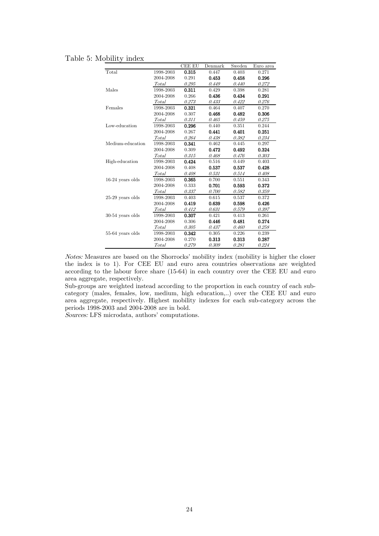|                    |           | <b>CEE EU</b> | Denmark | Sweden | Euro area |
|--------------------|-----------|---------------|---------|--------|-----------|
| Total              | 1998-2003 | 0.315         | 0.447   | 0.403  | 0.271     |
|                    | 2004-2008 | 0.291         | 0.453   | 0.458  | 0.296     |
|                    | Total     | 0.295         | 0.449   | 0.440  | 0.272     |
| Males              | 1998-2003 | 0.311         | 0.429   | 0.398  | 0.281     |
|                    | 2004-2008 | 0.266         | 0.436   | 0.434  | 0.291     |
|                    | Total     | 0.273         | 0.433   | 0.422  | 0.276     |
| Females            | 1998-2003 | 0.321         | 0.464   | 0.407  | 0.270     |
|                    | 2004-2008 | 0.307         | 0.468   | 0.482  | 0.306     |
|                    | Total     | 0.311         | 0.465   | 0.459  | 0.275     |
| Low-education      | 1998-2003 | 0.296         | 0.440   | 0.351  | 0.244     |
|                    | 2004-2008 | 0.267         | 0.441   | 0.401  | 0.251     |
|                    | Total     | 0.264         | 0.438   | 0.382  | 0.234     |
| Medium-education   | 1998-2003 | 0.341         | 0.462   | 0.445  | 0.297     |
|                    | 2004-2008 | 0.309         | 0.472   | 0.492  | 0.324     |
|                    | Total     | 0.315         | 0.468   | 0.476  | 0.303     |
| High-education     | 1998-2003 | 0.424         | 0.516   | 0.449  | 0.403     |
|                    | 2004-2008 | 0.408         | 0.537   | 0.537  | 0.428     |
|                    | Total     | 0.408         | 0.531   | 0.514  | 0.408     |
| $16-24$ years olds | 1998-2003 | 0.365         | 0.700   | 0.551  | 0.343     |
|                    | 2004-2008 | 0.333         | 0.701   | 0.593  | 0.372     |
|                    | Total     | 0.337         | 0.700   | 0.582  | 0.359     |
| $25-29$ years olds | 1998-2003 | 0.403         | 0.615   | 0.537  | 0.372     |
|                    | 2004-2008 | 0.419         | 0.639   | 0.598  | 0.426     |
|                    | Total     | 0.412         | 0.631   | 0.579  | 0.397     |
| $30-54$ years olds | 1998-2003 | 0.307         | 0.421   | 0.413  | 0.261     |
|                    | 2004-2008 | 0.306         | 0.446   | 0.481  | 0.274     |
|                    | Total     | 0.305         | 0.437   | 0.460  | 0.258     |
| $55-64$ years olds | 1998-2003 | 0.342         | 0.305   | 0.226  | 0.239     |
|                    | 2004-2008 | 0.270         | 0.313   | 0.313  | 0.287     |
|                    | Total     | 0.279         | 0.309   | 0.281  | 0.224     |

#### Table 5: Mobility index

Notes: Measures are based on the Shorrocks' mobility index (mobility is higher the closer the index is to 1). For CEE EU and euro area countries observations are weighted according to the labour force share (15-64) in each country over the CEE EU and euro area aggregate, respectively.

Sub-groups are weighted instead according to the proportion in each country of each subcategory (males, females, low, medium, high education,..) over the CEE EU and euro area aggregate, respectively. Highest mobility indexes for each sub-category across the periods 1998-2003 and 2004-2008 are in bold.

Sources: LFS microdata, authors' computations.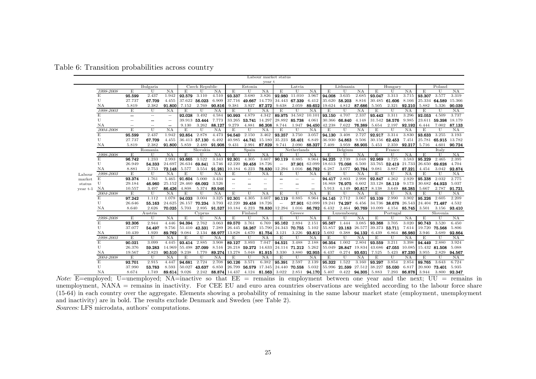|          | Labour market status |                          |          |                          |              |                |        |                          |               |                          |                          |                          |                          |                      |               |              |        |                      |              |                     |                      |              |  |
|----------|----------------------|--------------------------|----------|--------------------------|--------------|----------------|--------|--------------------------|---------------|--------------------------|--------------------------|--------------------------|--------------------------|----------------------|---------------|--------------|--------|----------------------|--------------|---------------------|----------------------|--------------|--|
| year t   |                      |                          |          |                          |              |                |        |                          |               |                          |                          |                          |                          |                      |               |              |        |                      |              |                     |                      |              |  |
|          |                      |                          | Bulgaria |                          |              | Czech Republic |        |                          | Estonia       |                          |                          | Latvia                   |                          |                      | Lithuania     |              |        | Hungary              |              |                     | Poland               |              |  |
|          | 1998-2008            | E                        | U        | NA                       | E            | $\mathbf{I}$   | NA     | E                        | $\mathbf{H}$  | NA                       | E                        | U                        | NA                       | E                    | U             | NA           | E      | U                    | NA           | E                   | U                    | NA           |  |
|          | E                    | 95.599                   | 2.437    | 1.942                    | 92.579       | 3.110          | 4.510  | 93.337                   | 3.680         | 3.826                    | 92.980 11.010            |                          | 3.967                    | 94.008               | 3.635         | 2.685        | 93.047 | 3.313                | 3.715        | 93.307              | 3.577                | 3.319        |  |
|          | U                    | 27.737                   | 67.709   | 4.455                    | 37.622       | 56.023         | 6.909  | 37.716                   | 49.667        | 14.770                   | 34.443 67.339            |                          | 6.412                    | 35.620               | 58.203        | 8.816        |        | 30.485 61.606        | 8.166        |                     | 25.334 64.589        | 15.366       |  |
|          | ΝA                   | 5.819                    | 2.382    | 91.800                   | 7.152        | 2.769          | 90.816 | 9.381                    | 3.927         | 87.272                   | 9.638                    | 2.059                    | 89.652                   | 19.624               | 4.812         | 87.686       | 5.505  | 2.321                | 92.210       | 5.882               | 5.326                | 90.039       |  |
|          | 1998-2003            | Е                        | U        | NA                       | Е            | U              | NA     | Е                        | U             | NA                       | Е                        | U                        | NA                       | E                    | U             | NA           | E      | U                    | NA           | Е                   | U                    | NA           |  |
|          | E                    |                          | $\sim$   | $\overline{\phantom{a}}$ | 92.028       | 3.492          | 4.584  | 90.993                   | 4.879         | 4.342                    |                          | 89.975 34.582            | 10.101                   | 93.150               | 4.707         | 2.337        | 93.442 | 3.311                | 3.296        | 92.053              | 4.509                | 3.737        |  |
|          | U                    | $-$                      |          | $\hspace{0.05cm}$        | 39.913       | 53.444         | 7.773  | 33.265                   | 53.741        | 14.297                   | 28.892 85.738            |                          | 4.061                    |                      | 30.366 66.840 | 4.148        |        | 31.542 58.576        | 9.985        | 23.611              | 59.398               | 18.179       |  |
|          | NA                   | $\overline{\phantom{a}}$ | $-$      | --                       | 9.130        | 3.262          | 88.127 | 9.279                    | 4.881         | 86.208                   | 8.744                    | 1.947                    | 94.450                   | 42.238               | 7.622         | 76.389       | 5.654  | 2.197                | 92.192       | 6.444               | 7.002                | 87.133       |  |
|          | 2004-2008            | E                        | U        | NA                       | E            | U              | NA     | E                        | $\mathbf{U}$  | ΝA                       | E                        | $\mathbf{U}$             | NA                       | E                    | U             | NA           | E      | $\mathbf{U}$         | NA           | E                   | $\mathbf{U}$         | NA           |  |
|          |                      | 95.599                   | 2.437    | 1.942                    | 92.854       | 2.878          | 4.473  | 94.540                   | 2.150         | 3.462                    | 93.257                   | 3.750                    | 3.057                    | 94.130               | 3.408         | 2.727        | 92.917 | 3.314                | 3.830        | $93.\overline{633}$ | 3.255                | 3.193        |  |
|          | U                    | 27.737                   | 67.709   | 4.455                    |              | 36.413 57.130  | 6.492  | 40.985                   | 44.741 15.180 |                          | 35.223                   | 58.401                   | 6.849                    | 36.930               | 54.863        | 9.506        |        | 30.156 62.453        | 7.451        |                     | 25.781 65.915 13.782 |              |  |
|          | ΝA                   | 5.819                    | 2.382    | 91.800                   | 5.859        | 2.489          | 91.908 | 9.431                    | 2.991         | 87.829                   | 9.741                    | 2.090                    | 88.327                   | 7.409                | 3.959         | 88.905       | 5.453  | 2.359                | 92.217       | 5.716               | 4.601                | 90.724       |  |
|          |                      | Romania                  |          | Slovakia                 |              |                | Spain  |                          |               | Netherlands              |                          |                          | Belgium                  |                      |               | France       |        |                      | Italy        |                     |                      |              |  |
|          | 1998-2008            | E                        | U        | NA                       | E            | U              | NA     | E                        | U             | NA                       | E                        | IJ                       | NA                       | E                    | U             | NA           | E      | U                    | NA           | E                   | $\mathbf{U}$         | NA           |  |
|          | E                    | 96.742                   | 1.233    | 2.993                    | 93.665       | 3.522          | 3.343  | 92.301                   | 4.305         | 3.607                    | 90.119                   | 0.885                    | 8.964                    | 94.225               | 2.739         | 3.048        | 92.969 | 3.725                | 3.583        | 95.229              | 2.465                | 2.395        |  |
|          | U                    | 26.949                   | 54.333   | 24.697                   | 26.634       | 69.841         | 3.746  | 42.220                   | 39.458        | 18.726                   | $-$                      | 37.901                   | 62.099                   | 18.613               | 75.098        | 6.500        |        | 33.765 52.419 21.733 |              | 26.650              | 69.628               | 4.704        |  |
|          | ΝA                   | 8.881                    | 2.753    | 72.148                   | 5.577        | 3.554          | 91.281 | 10.184                   | 6.223         | 78.830                   | 12.294                   | 1.016                    | 86.782                   | 6.287                | 3.077         | 90.784       | 9.081  | 3.887                | 87.221       | 4.454               | 3.042                | 92.874       |  |
| Labour   | 1998-2003            | E                        | U        | NA                       | Е            | U              | NA     | Е                        | U             | NA                       | E                        | U                        | NA                       | Е                    | $\mathbf{U}$  | NA           | Е      | U                    | NA           | Е                   | U                    | NA           |  |
| market   | E                    | 93.374                   | 1.761    | 5.465                    | 91.604       | 5.000          | 3.434  |                          | $\sim$        | $\overline{\phantom{a}}$ |                          | $-$                      | $\overline{\phantom{m}}$ | 94.417               | 2.803         | 2.998        | 92.847 | 4.262                | 2.929        | 95.238              | 2.032                | 2.775        |  |
| status   | U                    | 29.184                   | 46.960   | 25.152                   | 28.460       | 68.092         | 3.526  | $\overline{\phantom{a}}$ | --            | $\overline{a}$           | $-$                      | --                       | $ -$                     | 16.868               | 76.975        | 6.602        |        | 33.128 58.119        | 9.173        | 30.682              | 64.923               | 5.037        |  |
| year t-1 | ΝA                   | 10.557                   | 3.497    | 86.426                   | 4.808        | 5.374          | 89.946 | $\overline{\phantom{a}}$ | $\sim$        | -                        | $\overline{a}$           | $\overline{\phantom{a}}$ | --                       | 5.913                | 4.149         | 90.817       | 8.138  | 3.649                | 88.285       | 5.667               | 2.787                | 91.721       |  |
|          | 2004-2008            | Е                        | U        | NA                       | E            | U              | NA     | E                        | U             | NA                       | E                        | U                        | NA                       | E                    | U             | NA           | E      | U                    | NA           | E                   | U                    | NA           |  |
|          | E                    | 97.242                   | 1.112    | 1.078                    | 94.033       | 3.004          | 3.325  | 92.301                   | 4.305         | 3.607                    | 90.119                   | 0.885                    | 8.964                    | 94.145               | 2.712         | 3.067        | 93.109 | 2.990                | 3.902        | 95.226              | 2.605                | 2.209        |  |
|          | U                    | 26.646                   | 55.163   | 24.625                   | 26.157       | 70.234         | 3.793  | 42.220                   | 39.458        | 18.726                   | $\overline{\phantom{a}}$ | 37.901                   | 62.099                   | 19.241               | 74.297        | 6.456        |        | 34.736 38.678 26.543 |              | 24.404 71.487       |                      | 4.532        |  |
|          | ΝA                   | 8.640                    | 2.626    | 70.025                   | 5.703        | 2.895          | 91.527 | 10.184                   | 6.223         | 78.830                   | 12.294                   | 1.016                    | 86.782                   | 6.432                |               | 2.464 90.769 | 10.099 |                      | 4.154 85.745 | 3.501               |                      | 3.156 93.410 |  |
|          |                      |                          | Austria  |                          |              | Cyprus         |        |                          | Finland       |                          |                          | Greece                   |                          |                      | Luxembourg    |              |        | Portugal             |              |                     | Slovenia             |              |  |
|          | 1998-2008            | E                        | U        | NA                       | Ε            | U              | NA     | E                        | U             | NA                       | E                        | U                        | NA                       | E                    | $\mathbf{U}$  | NA           | E      | U                    | NA           | E                   | U                    | NA           |  |
|          | E                    | 92.306                   | 2.944    | 4.446                    | 94.394       | 2.762          | 3.063  | 89.570                   | 3.761         | 6.769                    | 95.162                   | 2.894                    | 2.151                    | 95.567               | 1.444         | 3.085        | 93.368 | 3.705                | 3.020        | 90.743              | 3.520                | 6.450        |  |
|          | U                    | 37.077                   | 54.497   | 9.756                    | 51.410       | 42.331         | 7.289  |                          | 26.445 58.267 | 15.790                   | 24.343                   | 70.755                   | 5.102                    | 55.857               | 23.183        | 26.577       | 39.373 | 53.711               | 7.614        | 19.720              | 75.568               | 5.806        |  |
|          | ΝA                   | 10.439                   | 1.920    | 89.762                   | 9.084        | 2.134          | 88.977 | 13.828                   | 4.670         | 81.754                   | 3.121                    | 3.226                    | 93.812                   | 5.692                | 0.388         | 94.132       | 6.439  | 6.864                | 86.980       | 3.946               | 3.689                | 92.864       |  |
|          | 1998-2003            | E                        | U        | NA                       | E            | U              | NA     | E                        | U             | NA                       | E                        | U                        | NA                       | E                    | U             | NA           | Е      | U                    | NA           | Е                   | U                    | NA           |  |
|          | E                    | 90.021                   | 3.099    | 4.445                    | 93.414 2.885 |                | 3.908  | 89.127                   | 3.893         | 7.047                    | 94.521                   | 3.488                    | 2.188                    | 96.354               | 1.002         | 2.804        | 93.559 | 3.211                | 3.398        | $94.\overline{449}$ | 2.880                | 3.924        |  |
|          | U                    | 26.376                   | 59.283   | 14.969                   |              | 55.498 37.099  | 8.516  |                          | 26.218 59.272 | 14.633                   | 24.114                   | 71.212                   | 5.262                    | 55.049               | 28.847        | 19.834       | 43.686 | 47.055 10.085        |              | 15.432 81.508       |                      | 5.088        |  |
|          | NA                   | 19.567                   | 2.823    | 90.510                   | 9.238        | 1.770          | 89.274 | 13.278                   | 5.048         | 81.915                   | 3.330                    | 3.880                    | 92.955                   | 6.437                | 0.274         | 93.631       | 7.525  | 5.423                | 87.230       | 3.955               | 2.829                | 94.567       |  |
|          | 2004-2008            | E                        | U        | ΝA                       | E            | U              | NA     | E                        | $\mathbf{U}$  | NA                       | E                        | U                        | NA                       | E                    | U             | NA           | E      | U                    | NA           | E                   | U                    | NA           |  |
|          | E                    | 92.701                   | 2.915    | 4.447                    | 94.681       | 2.724          | 2.708  | 90.126                   | 3.571         | 6.382                    | 95.391                   | 2.597                    | 2.139                    | 95.322               | 1.522         | 3.160        | 93.297 | 3.854                | 2.854        | 89.765              | 3.643                | 6.724        |  |
|          |                      |                          |          |                          |              |                |        |                          |               |                          |                          |                          |                          |                      |               |              |        |                      |              |                     |                      |              |  |
|          | U                    | 37.990                   | 53.783   | 8.593                    | 50.027       | 43.637         | 6.850  | 26.799                   |               | 56.579 17.345            | 24.440 70.558            |                          | 5.032                    | 55.996 21.599 27.512 |               |              |        | 38.227 55.030        | 6.817        | 20.800 73.401       |                      | 5.935        |  |

Table 6: Transition probabilities across country

Note:  $\overline{E}$ =employed; U=unemployed; NA=inactive so that  $\overline{E}E$  = remains in employment between one year and the next; UU = remains in unemployment, NANA = remains in inactivity. For CEE EU and euro area countries observations are weighted according to the labour force share (15-64) in each country over the aggregate. Elements showing a probability of remaining in the same labour market state (employment, unemployment and inactivity) are in bold. The results exclude Denmark and Sweden (see Table 2). Sources: LFS microdata, authors' computations.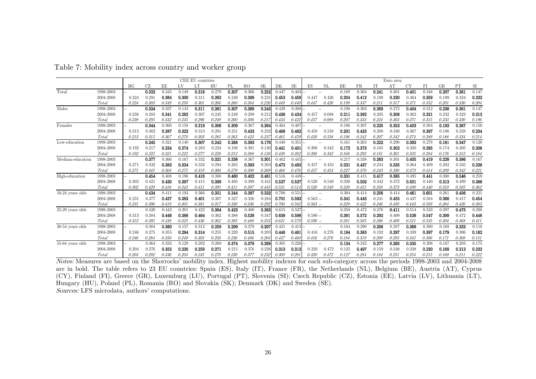|                    |           | CEE EU countries |       |       |       |       |       |       |       |           | Euro area |           |                |       |       |       |       |       |       |       |       |       |
|--------------------|-----------|------------------|-------|-------|-------|-------|-------|-------|-------|-----------|-----------|-----------|----------------|-------|-------|-------|-------|-------|-------|-------|-------|-------|
|                    |           | BG               | СZ    | ΕE    | LV    |       | HU    | PL    | RO    | <b>SK</b> | DK        | <b>SE</b> | ES<br>ΝL       | BE    | FR.   | Г     | AΊ    | CY    | FI    | GR    | PΊ    | SI    |
| Total              | 1998-2003 |                  | 0.332 | 0.345 | 0.149 | 0.318 | 0.279 | 0.307 | 0.366 | 0.252     | 0.447     | 0.403     |                | 0.189 | 0.304 | 0.241 | 0.30  | 0.401 | 0.348 | 0.207 | 0.361 | 0.147 |
|                    | 2004-2008 | 0.224            | 0.291 | 0.364 | 0.300 | 0.31  | 0.262 | 0.249 | 0.388 | 0.22      | 0.453     | 0.458     | 0.426<br>0.447 | 0.204 | 0.412 | 0.199 | 0.320 | 0.364 | 0.359 | 0.199 | 0.324 | 0.222 |
|                    | Total     | 0.224            | 0.303 | 0.349 | 0.250 | 0.301 | 0.266 | 0.260 | 0.384 | 0.220     | 0.449     | 0.440     | 0.426<br>0.447 | 0.199 | 0.337 | 0.211 | 0.317 | 0.371 | 0.352 | 0.201 | 0.330 | 0.204 |
| Males              | 1998-2003 |                  | 0.324 | 0.337 | 0.143 | 0.311 | 0.261 | 0.307 | 0.368 | 0.243     | 0.429     | 0.398     |                | 0.198 | 0.303 | 0.269 | 0.272 | 0.404 | 0.312 | 0.238 | 0.361 | 0.147 |
|                    | 2004-2008 | 0.238            | 0.283 | 0.341 | 0.282 | 0.307 | 0.245 | 0.249 | 0.299 | 0.21      | 0.436     | 0.434     | 0.457<br>0.088 | 0.211 | 0.392 | 0.205 | 0.308 | 0.362 | 0.321 | 0.232 | 0.323 | 0.213 |
|                    | Total     | 0.238            | 0.295 | 0.332 | 0.235 | 0.296 | 0.249 | 0.260 | 0.306 | 0.21      | 0.433     | 0.422     | 0.088<br>0.457 | 0.207 | 0.333 | 0.224 | 0.303 | 0.371 | 0.315 | 0.233 | 0.330 | 0.196 |
| Females            | 1998-2003 |                  | 0.344 | 0.360 | 0.158 | 0.319 | 0.306 | 0.309 | 0.367 | 0.264     | 0.464     | 0.407     |                | 0.186 | 0.307 | 0.225 | 0.353 | 0.403 | 0.384 | 0.193 | 0.367 | 0.150 |
|                    | 2004-2008 | 0.213            | 0.302 | 0.387 | 0.322 | 0.313 | 0.281 | 0.251 | 0.433 | 0.23      | 0.468     | 0.482     | 0.450<br>0.558 | 0.201 | 0.433 | 0.200 | 0.340 | 0.367 | 0.397 | 0.186 | 0.328 | 0.234 |
|                    | Total     | 0.213            | 0.315 | 0.367 | 0.270 | 0.303 | 0.285 | 0.263 | 0.423 | 0.23      | 0.465     | 0.459     | 0.450<br>0.558 | 0.196 | 0.342 | 0.207 | 0.342 | 0.374 | 0.389 | 0.188 | 0.334 | 0.214 |
| Low-education      | 1998-2003 |                  | 0.245 | 0.321 | 0.140 | 0.307 | 0.242 | 0.268 | 0.393 | 0.176     | 0.440     | 0.351     | $\overline{a}$ | 0.161 | 0.263 | 0.222 | 0.296 | 0.392 | 0.278 | 0.181 | 0.347 | 0.120 |
|                    | 2004-2008 | 0.192            | 0.21  | 0.334 | 0.274 | 0.283 | 0.224 | 0.198 | 0.391 | 0.13(     | 0.441     | 0.401     | 0.342<br>0.398 | 0.172 | 0.373 | 0.165 | 0.302 | 0.320 | 0.295 | 0.174 | 0.305 | 0.206 |
|                    | Total     | 0.192            | 0.225 | 0.321 | 0.222 | 0.277 | 0.228 | 0.213 | 0.388 | 0.13      | 0.438     | 0.382     | 0.398<br>0.342 | 0.168 | 0.292 | 0.181 | 0.301 | 0.335 | 0.284 | 0.176 | 0.312 | 0.184 |
| Medium-education   | 1998-2003 |                  | 0.37' | 0.366 | 0.167 | 0.332 | 0.321 | 0.338 | 0.367 | 0.301     | 0.462     | 0.445     |                | 0.217 | 0.338 | 0.263 | 0.30  | 0.405 | 0.419 | 0.228 | 0.386 | 0.167 |
|                    | 2004-2008 | 0.27             | 0.332 | 0.383 | 0.324 | 0.332 | 0.294 | 0.265 | 0.393 | 0.263     | 0.472     | 0.492     | 0.453<br>0.457 | 0.231 | 0.437 | 0.234 | 0.335 | 0.364 | 0.409 | 0.202 | 0.335 | 0.238 |
|                    | Total     | 0.27             | 0.345 | 0.368 | 0.275 | 0.319 | 0.300 | 0.279 | 0.390 | 0.26      | 0.468     | 0.476     | 0.457<br>0.453 | 0.227 | 0.370 | 0.245 | 0.330 | 0.373 | 0.414 | 0.209 | 0.342 | 0.22i |
| High-education     | 1998-2003 |                  | 0.454 | 0.408 | 0.196 | 0.416 | 0.380 | 0.460 | 0.402 | 0.481     | 0.516     | 0.449     | $\sim$         | 0.331 | 0.415 | 0.417 | 0.385 | 0.495 | 0.441 | 0.300 | 0.546 | 0.259 |
|                    | 2004-2008 | 0.302            | 0.421 | 0.430 | 0.397 | 0.415 | 0.399 | 0.405 | 0.399 | 0.44      | 0.537     | 0.537     | 0.520<br>0.549 | 0.326 | 0.502 | 0.342 | 0.372 | 0.501 | 0.440 | 0.313 | 0.499 | 0.386 |
|                    | Total     | 0.302            | 0.429 | 0.416 | 0.343 | 0.411 | 0.395 | 0.411 | 0.397 | 0.445     | 0.531     | 0.514     | 0.520<br>0.549 | 0.328 | 0.451 | 0.358 | 0.375 | 0.499 | 0.440 | 0.310 | 0.505 | 0.362 |
| $16-24$ years olds | 1998-2003 |                  | 0.434 | 0.41  | 0.193 | 0.366 | 0.351 | 0.344 | 0.397 | 0.332     | 0.700     | 0.551     | $\sim$         | 0.304 | 0.414 | 0.256 | 0.414 | 0.461 | 0.601 | 0.261 | 0.456 | 0.221 |
|                    | 2004-2008 | 0.231            | 0.377 | 0.437 | 0.383 | 0.401 | 0.307 | 0.327 | 0.326 | 0.28      | 0.701     | 0.593     | $0.563 -$      | 0.341 | 0.443 | 0.241 | 0.455 | 0.437 | 0.584 | 0.268 | 0.417 | 0.454 |
|                    | Total     | 0.23.            | 0.396 | 0.418 | 0.301 | 0.381 | 0.317 | 0.330 | 0.336 | 0.292     | 0.700     | 0.582     | $0.563 -$      | 0.329 | 0.422 | 0.246 | 0.450 | 0.443 | 0.593 | 0.264 | 0.426 | 0.383 |
| $25-29$ years olds | 1998-2003 |                  | 0.420 | 0.442 | 0.201 | 0.422 | 0.364 | 0.423 | 0.400 | 0.383     | 0.615     | 0.537     |                | 0.358 | 0.472 | 0.276 | 0.41  | 0.514 | 0.533 | 0.297 | 0.475 | 0.298 |
|                    | 2004-2008 | 0.313            | 0.384 | 0.446 | 0.388 | 0.464 | 0.362 | 0.388 | 0.528 | 0.34      | 0.639     | 0.598     | $0.590 -$      | 0.391 | 0.572 | 0.292 | 0.409 | 0.526 | 0.547 | 0.309 | 0.472 | 0.448 |
|                    | Total     | 0.313            | 0.395 | 0.438 | 0.325 | 0.436 | 0.362 | 0.395 | 0.488 | 0.35      | 0.631     | 0.579     | $0.590 -$      | 0.381 | 0.505 | 0.286 | 0.409 | 0.521 | 0.535 | 0.304 | 0.468 | 0.411 |
| $30-54$ years olds | 1998-2003 |                  | 0.304 | 0.360 | 0.157 | 0.312 | 0.259 | 0.299 | 0.379 | 0.207     | 0.421     | 0.413     | $\sim$         | 0.164 | 0.290 | 0.256 | 0.287 | 0.369 | 0.380 | 0.169 | 0.332 | 0.118 |
|                    | 2004-2008 | 0.246            | 0.275 | 0.355 | 0.294 | 0.314 | 0.255 | 0.220 | 0.515 | 0.20      | 0.446     | 0.481     | 0.416<br>0.276 | 0.194 | 0.383 | 0.192 | 0.297 | 0.339 | 0.397 | 0.179 | 0.306 | 0.162 |
|                    | Total     | 0.246            | 0.284 | 0.350 | 0.249 | 0.305 | 0.256 | 0.236 | 0.486 | 0.20      | 0.437     | 0.460     | 0.276<br>0.416 | 0.184 | 0.319 | 0.209 | 0.295 | 0.345 | 0.386 | 0.171 | 0.308 | 0.151 |
| $55-64$ years olds | 1998-2003 |                  | 0.364 | 0.333 | 0.129 | 0.202 | 0.269 | 0.374 | 0.378 | 0.289     | 0.305     | 0.226     |                | 0.134 | 0.242 | 0.277 | 0.265 | 0.335 | 0.206 | 0.167 | 0.203 | 0.175 |
|                    | 2004-2008 | 0.204            | 0.276 | 0.352 | 0.230 | 0.259 | 0.271 | 0.215 | 0.376 | 0.22      | 0.313     | 0.313     | 0.320<br>0.472 | 0.125 | 0.497 | 0.159 | 0.248 | 0.238 | 0.230 | 0.169 | 0.213 | 0.232 |
|                    | Total     | 0.204            | 0.292 | 0.336 | 0.204 | 0.245 | 0.270 | 0.230 | 0.377 | 0.23      | 0.309     | 0.281     | 0.320<br>0.472 | 0.127 | 0.284 | 0.184 | 0.25  | 0.254 | 0.215 | 0.169 | 0.21  | 0.222 |

Table 7: Mobility index across country and worker group

Notes: Measures are based on the Shorrocks' mobility index. Highest mobility indexes for each sub-category across the periods 1998-2003 and 2004-2008 are in bold. The table refers to 23 EU countries: Spain (ES), Italy (IT), France (FR), the Netherlands (NL), Belgium (BE), Austria (AT), Cyprus (CY), Finland (FI), Greece (GR), Luxemburg (LU), Portugal (PT), Slovenia (SI); Czech Republic (CZ), Estonia (EE), Latvia (LV), Lithuania (LT), Hungary (HU), Poland (PL), Romania (RO) and Slovakia (SK); Denmark (DK) and Sweden (SE). Sources: LFS microdata, authors' computations.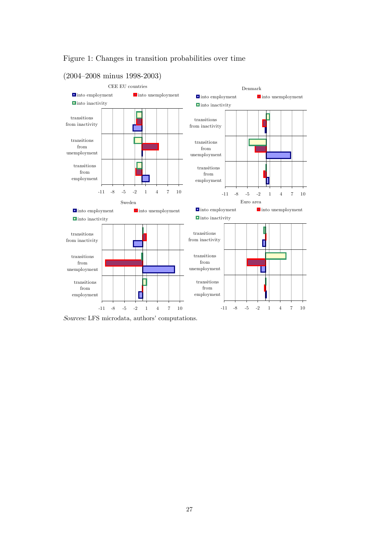

#### Figure 1: Changes in transition probabilities over time

(2004–2008 minus 1998-2003)

Sources: LFS microdata, authors' computations.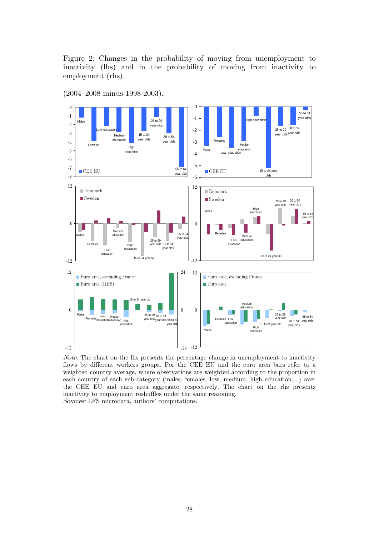Figure 2: Changes in the probability of moving from unemployment to inactivity (lhs) and in the probability of moving from inactivity to employment (rhs).

(2004–2008 minus 1998-2003).



Note: The chart on the lhs presents the percentage change in unemployment to inactivity flows by different workers groups. For the CEE EU and the euro area bars refer to a weighted country average, where observations are weighted according to the proportion in each country of each sub-category (males, females, low, medium, high education,...) over the CEE EU and euro area aggregate, respectively. The chart on the rhs presents inactivity to employment reshuffles under the same reasoning. Sources: LFS microdata, authors' computations.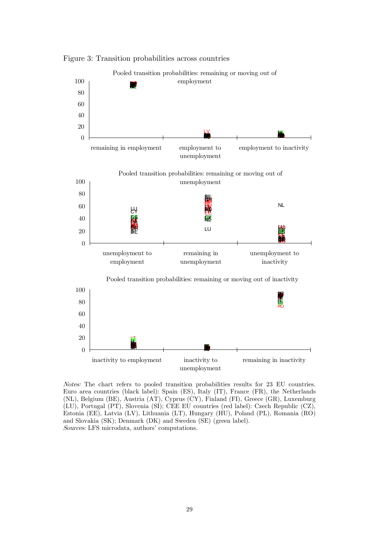

Figure 3: Transition probabilities across countries

Notes: The chart refers to pooled transition probabilities results for 23 EU countries. Euro area countries (black label): Spain (ES), Italy (IT), France (FR), the Netherlands (NL), Belgium (BE), Austria (AT), Cyprus (CY), Finland (FI), Greece (GR), Luxemburg (LU), Portugal (PT), Slovenia (SI); CEE EU countries (red label): Czech Republic (CZ), Estonia (EE), Latvia (LV), Lithuania (LT), Hungary (HU), Poland (PL), Romania (RO) and Slovakia (SK); Denmark (DK) and Sweden (SE) (green label). Sources: LFS microdata, authors' computations.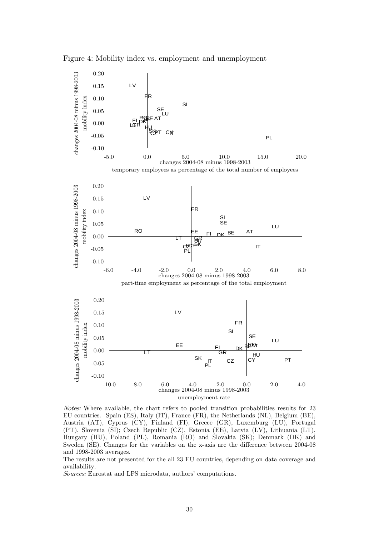Figure 4: Mobility index vs. employment and unemployment



Notes: Where available, the chart refers to pooled transition probabilities results for 23 EU countries. Spain (ES), Italy (IT), France (FR), the Netherlands (NL), Belgium (BE), Austria (AT), Cyprus (CY), Finland (FI), Greece (GR), Luxemburg (LU), Portugal (PT), Slovenia (SI); Czech Republic (CZ), Estonia (EE), Latvia (LV), Lithuania (LT), Hungary (HU), Poland (PL), Romania (RO) and Slovakia (SK); Denmark (DK) and Sweden (SE). Changes for the variables on the x-axis are the difference between 2004-08 and 1998-2003 averages.

The results are not presented for the all 23 EU countries, depending on data coverage and availability.

Sources: Eurostat and LFS microdata, authors' computations.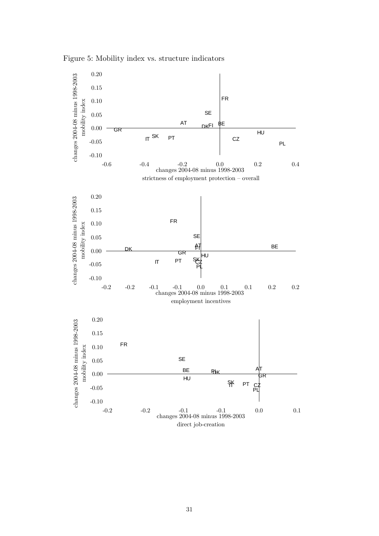Figure 5: Mobility index vs. structure indicators